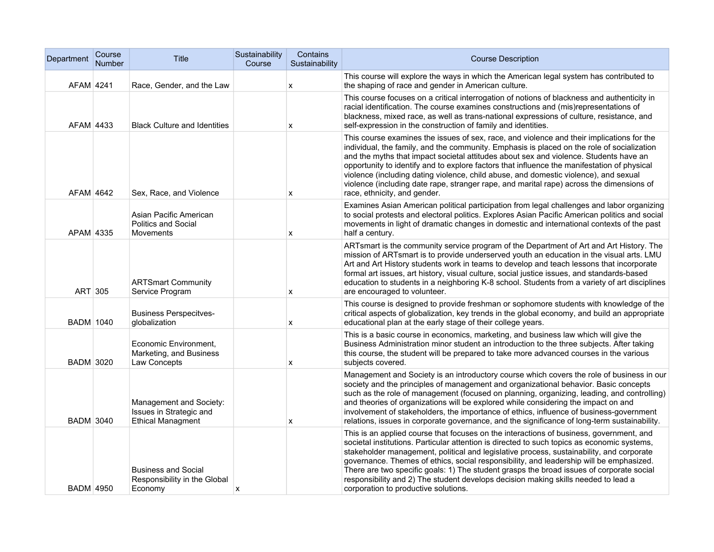| Department       | Course<br>Number | Title                                                                          | Sustainability<br>Course | Contains<br>Sustainability | <b>Course Description</b>                                                                                                                                                                                                                                                                                                                                                                                                                                                                                                                                                                               |
|------------------|------------------|--------------------------------------------------------------------------------|--------------------------|----------------------------|---------------------------------------------------------------------------------------------------------------------------------------------------------------------------------------------------------------------------------------------------------------------------------------------------------------------------------------------------------------------------------------------------------------------------------------------------------------------------------------------------------------------------------------------------------------------------------------------------------|
| AFAM 4241        |                  | Race, Gender, and the Law                                                      |                          | X                          | This course will explore the ways in which the American legal system has contributed to<br>the shaping of race and gender in American culture.                                                                                                                                                                                                                                                                                                                                                                                                                                                          |
| AFAM 4433        |                  | <b>Black Culture and Identities</b>                                            |                          | X                          | This course focuses on a critical interrogation of notions of blackness and authenticity in<br>racial identification. The course examines constructions and (mis)representations of<br>blackness, mixed race, as well as trans-national expressions of culture, resistance, and<br>self-expression in the construction of family and identities.                                                                                                                                                                                                                                                        |
| AFAM 4642        |                  | Sex, Race, and Violence                                                        |                          | x                          | This course examines the issues of sex, race, and violence and their implications for the<br>individual, the family, and the community. Emphasis is placed on the role of socialization<br>and the myths that impact societal attitudes about sex and violence. Students have an<br>opportunity to identify and to explore factors that influence the manifestation of physical<br>violence (including dating violence, child abuse, and domestic violence), and sexual<br>violence (including date rape, stranger rape, and marital rape) across the dimensions of<br>race, ethnicity, and gender.     |
| APAM 4335        |                  | Asian Pacific American<br><b>Politics and Social</b><br>Movements              |                          | x                          | Examines Asian American political participation from legal challenges and labor organizing<br>to social protests and electoral politics. Explores Asian Pacific American politics and social<br>movements in light of dramatic changes in domestic and international contexts of the past<br>half a century.                                                                                                                                                                                                                                                                                            |
| ART 305          |                  | <b>ARTSmart Community</b><br>Service Program                                   |                          | x                          | ARTsmart is the community service program of the Department of Art and Art History. The<br>mission of ARTsmart is to provide underserved youth an education in the visual arts. LMU<br>Art and Art History students work in teams to develop and teach lessons that incorporate<br>formal art issues, art history, visual culture, social justice issues, and standards-based<br>education to students in a neighboring K-8 school. Students from a variety of art disciplines<br>are encouraged to volunteer.                                                                                          |
| <b>BADM 1040</b> |                  | <b>Business Perspecitves-</b><br>globalization                                 |                          | x                          | This course is designed to provide freshman or sophomore students with knowledge of the<br>critical aspects of globalization, key trends in the global economy, and build an appropriate<br>educational plan at the early stage of their college years.                                                                                                                                                                                                                                                                                                                                                 |
| <b>BADM 3020</b> |                  | Economic Environment,<br>Marketing, and Business<br>Law Concepts               |                          | x                          | This is a basic course in economics, marketing, and business law which will give the<br>Business Administration minor student an introduction to the three subjects. After taking<br>this course, the student will be prepared to take more advanced courses in the various<br>subjects covered.                                                                                                                                                                                                                                                                                                        |
| <b>BADM 3040</b> |                  | Management and Society:<br>Issues in Strategic and<br><b>Ethical Managment</b> |                          | х                          | Management and Society is an introductory course which covers the role of business in our<br>society and the principles of management and organizational behavior. Basic concepts<br>such as the role of management (focused on planning, organizing, leading, and controlling)<br>and theories of organizations will be explored while considering the impact on and<br>involvement of stakeholders, the importance of ethics, influence of business-government<br>relations, issues in corporate governance, and the significance of long-term sustainability.                                        |
| <b>BADM 4950</b> |                  | <b>Business and Social</b><br>Responsibility in the Global<br>Economy          | x                        |                            | This is an applied course that focuses on the interactions of business, government, and<br>societal institutions. Particular attention is directed to such topics as economic systems,<br>stakeholder management, political and legislative process, sustainability, and corporate<br>governance. Themes of ethics, social responsibility, and leadership will be emphasized.<br>There are two specific goals: 1) The student grasps the broad issues of corporate social<br>responsibility and 2) The student develops decision making skills needed to lead a<br>corporation to productive solutions. |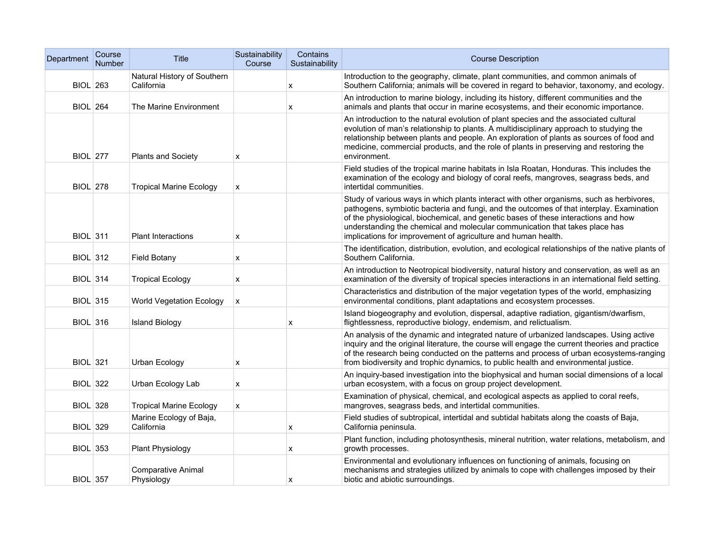| Department      | Course<br>Number | <b>Title</b>                              | Sustainability<br>Course | Contains<br>Sustainability | <b>Course Description</b>                                                                                                                                                                                                                                                                                                                                                                                                  |
|-----------------|------------------|-------------------------------------------|--------------------------|----------------------------|----------------------------------------------------------------------------------------------------------------------------------------------------------------------------------------------------------------------------------------------------------------------------------------------------------------------------------------------------------------------------------------------------------------------------|
| <b>BIOL 263</b> |                  | Natural History of Southern<br>California |                          | x                          | Introduction to the geography, climate, plant communities, and common animals of<br>Southern California; animals will be covered in regard to behavior, taxonomy, and ecology.                                                                                                                                                                                                                                             |
| <b>BIOL 264</b> |                  | The Marine Environment                    |                          | X                          | An introduction to marine biology, including its history, different communities and the<br>animals and plants that occur in marine ecosystems, and their economic importance.                                                                                                                                                                                                                                              |
| <b>BIOL</b> 277 |                  | <b>Plants and Society</b>                 | X                        |                            | An introduction to the natural evolution of plant species and the associated cultural<br>evolution of man's relationship to plants. A multidisciplinary approach to studying the<br>relationship between plants and people. An exploration of plants as sources of food and<br>medicine, commercial products, and the role of plants in preserving and restoring the<br>environment.                                       |
| <b>BIOL</b> 278 |                  | <b>Tropical Marine Ecology</b>            | X                        |                            | Field studies of the tropical marine habitats in Isla Roatan, Honduras. This includes the<br>examination of the ecology and biology of coral reefs, mangroves, seagrass beds, and<br>intertidal communities.                                                                                                                                                                                                               |
| <b>BIOL 311</b> |                  | Plant Interactions                        | X                        |                            | Study of various ways in which plants interact with other organisms, such as herbivores,<br>pathogens, symbiotic bacteria and fungi, and the outcomes of that interplay. Examination<br>of the physiological, biochemical, and genetic bases of these interactions and how<br>understanding the chemical and molecular communication that takes place has<br>implications for improvement of agriculture and human health. |
| <b>BIOL 312</b> |                  | <b>Field Botany</b>                       | X                        |                            | The identification, distribution, evolution, and ecological relationships of the native plants of<br>Southern California.                                                                                                                                                                                                                                                                                                  |
| <b>BIOL 314</b> |                  | <b>Tropical Ecology</b>                   | X                        |                            | An introduction to Neotropical biodiversity, natural history and conservation, as well as an<br>examination of the diversity of tropical species interactions in an international field setting.                                                                                                                                                                                                                           |
| <b>BIOL</b> 315 |                  | <b>World Vegetation Ecology</b>           | X                        |                            | Characteristics and distribution of the major vegetation types of the world, emphasizing<br>environmental conditions, plant adaptations and ecosystem processes.                                                                                                                                                                                                                                                           |
| <b>BIOL 316</b> |                  | <b>Island Biology</b>                     |                          | X                          | Island biogeography and evolution, dispersal, adaptive radiation, gigantism/dwarfism,<br>flightlessness, reproductive biology, endemism, and relictualism.                                                                                                                                                                                                                                                                 |
| <b>BIOL</b> 321 |                  | Urban Ecology                             | х                        |                            | An analysis of the dynamic and integrated nature of urbanized landscapes. Using active<br>inquiry and the original literature, the course will engage the current theories and practice<br>of the research being conducted on the patterns and process of urban ecosystems-ranging<br>from biodiversity and trophic dynamics, to public health and environmental justice.                                                  |
| <b>BIOL 322</b> |                  | Urban Ecology Lab                         | X                        |                            | An inquiry-based investigation into the biophysical and human social dimensions of a local<br>urban ecosystem, with a focus on group project development.                                                                                                                                                                                                                                                                  |
| <b>BIOL 328</b> |                  | <b>Tropical Marine Ecology</b>            | $\mathsf{x}$             |                            | Examination of physical, chemical, and ecological aspects as applied to coral reefs,<br>mangroves, seagrass beds, and intertidal communities.                                                                                                                                                                                                                                                                              |
| <b>BIOL 329</b> |                  | Marine Ecology of Baja,<br>California     |                          | x                          | Field studies of subtropical, intertidal and subtidal habitats along the coasts of Baja,<br>California peninsula.                                                                                                                                                                                                                                                                                                          |
| <b>BIOL 353</b> |                  | <b>Plant Physiology</b>                   |                          | x                          | Plant function, including photosynthesis, mineral nutrition, water relations, metabolism, and<br>growth processes.                                                                                                                                                                                                                                                                                                         |
| <b>BIOL 357</b> |                  | <b>Comparative Animal</b><br>Physiology   |                          | x                          | Environmental and evolutionary influences on functioning of animals, focusing on<br>mechanisms and strategies utilized by animals to cope with challenges imposed by their<br>biotic and abiotic surroundings.                                                                                                                                                                                                             |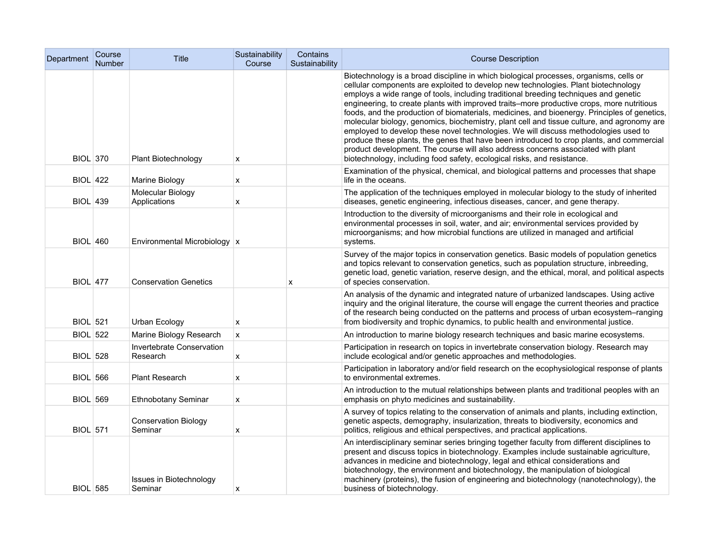| Department      | Course<br>Number | Title                                  | Sustainability<br>Course  | Contains<br>Sustainability | <b>Course Description</b>                                                                                                                                                                                                                                                                                                                                                                                                                                                                                                                                                                                                                                                                                                                                                                                                                                                                                         |
|-----------------|------------------|----------------------------------------|---------------------------|----------------------------|-------------------------------------------------------------------------------------------------------------------------------------------------------------------------------------------------------------------------------------------------------------------------------------------------------------------------------------------------------------------------------------------------------------------------------------------------------------------------------------------------------------------------------------------------------------------------------------------------------------------------------------------------------------------------------------------------------------------------------------------------------------------------------------------------------------------------------------------------------------------------------------------------------------------|
| <b>BIOL 370</b> |                  | Plant Biotechnology                    | X                         |                            | Biotechnology is a broad discipline in which biological processes, organisms, cells or<br>cellular components are exploited to develop new technologies. Plant biotechnology<br>employs a wide range of tools, including traditional breeding techniques and genetic<br>engineering, to create plants with improved traits–more productive crops, more nutritious<br>foods, and the production of biomaterials, medicines, and bioenergy. Principles of genetics,<br>molecular biology, genomics, biochemistry, plant cell and tissue culture, and agronomy are<br>employed to develop these novel technologies. We will discuss methodologies used to<br>produce these plants, the genes that have been introduced to crop plants, and commercial<br>product development. The course will also address concerns associated with plant<br>biotechnology, including food safety, ecological risks, and resistance. |
| <b>BIOL 422</b> |                  | Marine Biology                         | X                         |                            | Examination of the physical, chemical, and biological patterns and processes that shape<br>life in the oceans.                                                                                                                                                                                                                                                                                                                                                                                                                                                                                                                                                                                                                                                                                                                                                                                                    |
| <b>BIOL 439</b> |                  | Molecular Biology<br>Applications      | X                         |                            | The application of the techniques employed in molecular biology to the study of inherited<br>diseases, genetic engineering, infectious diseases, cancer, and gene therapy.                                                                                                                                                                                                                                                                                                                                                                                                                                                                                                                                                                                                                                                                                                                                        |
| <b>BIOL 460</b> |                  | Environmental Microbiology   x         |                           |                            | Introduction to the diversity of microorganisms and their role in ecological and<br>environmental processes in soil, water, and air; environmental services provided by<br>microorganisms; and how microbial functions are utilized in managed and artificial<br>systems.                                                                                                                                                                                                                                                                                                                                                                                                                                                                                                                                                                                                                                         |
| <b>BIOL</b> 477 |                  | <b>Conservation Genetics</b>           |                           | x                          | Survey of the major topics in conservation genetics. Basic models of population genetics<br>and topics relevant to conservation genetics, such as population structure, inbreeding,<br>genetic load, genetic variation, reserve design, and the ethical, moral, and political aspects<br>of species conservation.                                                                                                                                                                                                                                                                                                                                                                                                                                                                                                                                                                                                 |
| <b>BIOL 521</b> |                  | Urban Ecology                          | X                         |                            | An analysis of the dynamic and integrated nature of urbanized landscapes. Using active<br>inquiry and the original literature, the course will engage the current theories and practice<br>of the research being conducted on the patterns and process of urban ecosystem-ranging<br>from biodiversity and trophic dynamics, to public health and environmental justice.                                                                                                                                                                                                                                                                                                                                                                                                                                                                                                                                          |
| <b>BIOL 522</b> |                  | Marine Biology Research                | $\mathsf{x}$              |                            | An introduction to marine biology research techniques and basic marine ecosystems.                                                                                                                                                                                                                                                                                                                                                                                                                                                                                                                                                                                                                                                                                                                                                                                                                                |
| <b>BIOL 528</b> |                  | Invertebrate Conservation<br>Research  | х                         |                            | Participation in research on topics in invertebrate conservation biology. Research may<br>include ecological and/or genetic approaches and methodologies.                                                                                                                                                                                                                                                                                                                                                                                                                                                                                                                                                                                                                                                                                                                                                         |
| <b>BIOL 566</b> |                  | <b>Plant Research</b>                  | x                         |                            | Participation in laboratory and/or field research on the ecophysiological response of plants<br>to environmental extremes.                                                                                                                                                                                                                                                                                                                                                                                                                                                                                                                                                                                                                                                                                                                                                                                        |
| <b>BIOL 569</b> |                  | Ethnobotany Seminar                    | X                         |                            | An introduction to the mutual relationships between plants and traditional peoples with an<br>emphasis on phyto medicines and sustainability.                                                                                                                                                                                                                                                                                                                                                                                                                                                                                                                                                                                                                                                                                                                                                                     |
| <b>BIOL 571</b> |                  | <b>Conservation Biology</b><br>Seminar | $\boldsymbol{\mathsf{x}}$ |                            | A survey of topics relating to the conservation of animals and plants, including extinction,<br>genetic aspects, demography, insularization, threats to biodiversity, economics and<br>politics, religious and ethical perspectives, and practical applications.                                                                                                                                                                                                                                                                                                                                                                                                                                                                                                                                                                                                                                                  |
| <b>BIOL 585</b> |                  | Issues in Biotechnology<br>Seminar     | х                         |                            | An interdisciplinary seminar series bringing together faculty from different disciplines to<br>present and discuss topics in biotechnology. Examples include sustainable agriculture,<br>advances in medicine and biotechnology, legal and ethical considerations and<br>biotechnology, the environment and biotechnology, the manipulation of biological<br>machinery (proteins), the fusion of engineering and biotechnology (nanotechnology), the<br>business of biotechnology.                                                                                                                                                                                                                                                                                                                                                                                                                                |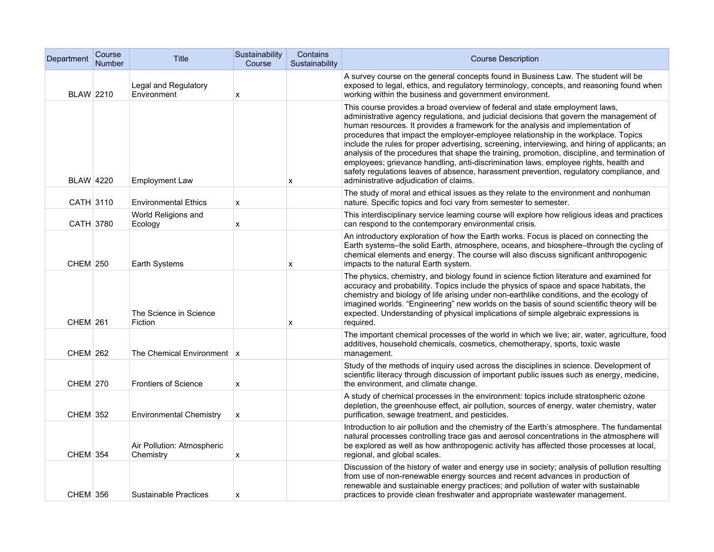| Department       | Course<br><b>Number</b> | Title                                    | Sustainability<br>Course | Contains<br>Sustainability | <b>Course Description</b>                                                                                                                                                                                                                                                                                                                                                                                                                                                                                                                                                                                                                                                                                                                                                        |
|------------------|-------------------------|------------------------------------------|--------------------------|----------------------------|----------------------------------------------------------------------------------------------------------------------------------------------------------------------------------------------------------------------------------------------------------------------------------------------------------------------------------------------------------------------------------------------------------------------------------------------------------------------------------------------------------------------------------------------------------------------------------------------------------------------------------------------------------------------------------------------------------------------------------------------------------------------------------|
| <b>BLAW 2210</b> |                         | Legal and Regulatory<br>Environment      | x                        |                            | A survey course on the general concepts found in Business Law. The student will be<br>exposed to legal, ethics, and regulatory terminology, concepts, and reasoning found when<br>working within the business and government environment.                                                                                                                                                                                                                                                                                                                                                                                                                                                                                                                                        |
| <b>BLAW 4220</b> |                         | <b>Employment Law</b>                    |                          | x                          | This course provides a broad overview of federal and state employment laws,<br>administrative agency regulations, and judicial decisions that govern the management of<br>human resources. It provides a framework for the analysis and implementation of<br>procedures that impact the employer-employee relationship in the workplace. Topics<br>include the rules for proper advertising, screening, interviewing, and hiring of applicants; an<br>analysis of the procedures that shape the training, promotion, discipline, and termination of<br>employees; grievance handling, anti-discrimination laws, employee rights, health and<br>safety regulations leaves of absence, harassment prevention, regulatory compliance, and<br>administrative adjudication of claims. |
| CATH 3110        |                         | <b>Environmental Ethics</b>              | x                        |                            | The study of moral and ethical issues as they relate to the environment and nonhuman<br>nature. Specific topics and foci vary from semester to semester.                                                                                                                                                                                                                                                                                                                                                                                                                                                                                                                                                                                                                         |
| CATH 3780        |                         | World Religions and<br>Ecology           | x                        |                            | This interdisciplinary service learning course will explore how religious ideas and practices<br>can respond to the contemporary environmental crisis.                                                                                                                                                                                                                                                                                                                                                                                                                                                                                                                                                                                                                           |
| <b>CHEM 250</b>  |                         | Earth Systems                            |                          | X                          | An introductory exploration of how the Earth works. Focus is placed on connecting the<br>Earth systems-the solid Earth, atmosphere, oceans, and biosphere-through the cycling of<br>chemical elements and energy. The course will also discuss significant anthropogenic<br>impacts to the natural Earth system.                                                                                                                                                                                                                                                                                                                                                                                                                                                                 |
| <b>CHEM 261</b>  |                         | The Science in Science<br>Fiction        |                          | X                          | The physics, chemistry, and biology found in science fiction literature and examined for<br>accuracy and probability. Topics include the physics of space and space habitats, the<br>chemistry and biology of life arising under non-earthlike conditions, and the ecology of<br>imagined worlds. "Engineering" new worlds on the basis of sound scientific theory will be<br>expected. Understanding of physical implications of simple algebraic expressions is<br>required.                                                                                                                                                                                                                                                                                                   |
| <b>CHEM 262</b>  |                         | The Chemical Environment $\vert x \vert$ |                          |                            | The important chemical processes of the world in which we live; air, water, agriculture, food<br>additives, household chemicals, cosmetics, chemotherapy, sports, toxic waste<br>management.                                                                                                                                                                                                                                                                                                                                                                                                                                                                                                                                                                                     |
| <b>CHEM 270</b>  |                         | <b>Frontiers of Science</b>              | x                        |                            | Study of the methods of inquiry used across the disciplines in science. Development of<br>scientific literacy through discussion of important public issues such as energy, medicine,<br>the environment, and climate change.                                                                                                                                                                                                                                                                                                                                                                                                                                                                                                                                                    |
| <b>CHEM 352</b>  |                         | <b>Environmental Chemistry</b>           | X                        |                            | A study of chemical processes in the environment: topics include stratospheric ozone<br>depletion, the greenhouse effect, air pollution, sources of energy, water chemistry, water<br>purification, sewage treatment, and pesticides.                                                                                                                                                                                                                                                                                                                                                                                                                                                                                                                                            |
| <b>CHEM 354</b>  |                         | Air Pollution: Atmospheric<br>Chemistry  | x                        |                            | Introduction to air pollution and the chemistry of the Earth's atmosphere. The fundamental<br>natural processes controlling trace gas and aerosol concentrations in the atmosphere will<br>be explored as well as how anthropogenic activity has affected those processes at local,<br>regional, and global scales.                                                                                                                                                                                                                                                                                                                                                                                                                                                              |
| <b>CHEM 356</b>  |                         | <b>Sustainable Practices</b>             | x                        |                            | Discussion of the history of water and energy use in society; analysis of pollution resulting<br>from use of non-renewable energy sources and recent advances in production of<br>renewable and sustainable energy practices; and pollution of water with sustainable<br>practices to provide clean freshwater and appropriate wastewater management.                                                                                                                                                                                                                                                                                                                                                                                                                            |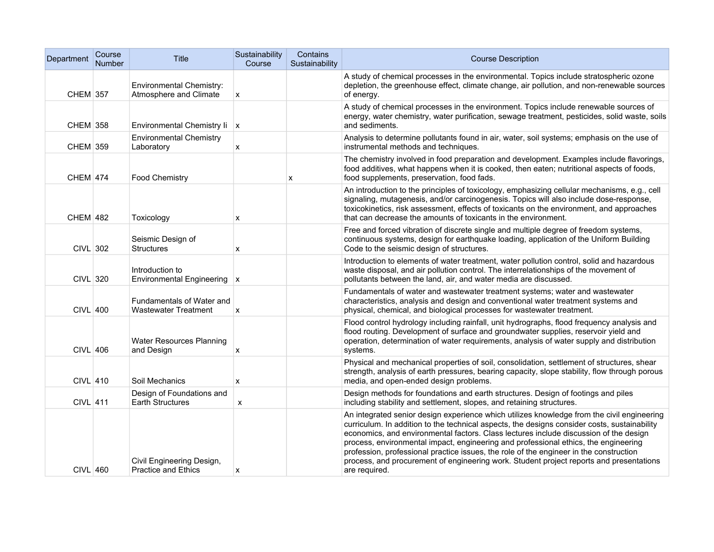| Department      | Course<br><b>Number</b> | <b>Title</b>                                              | Sustainability<br>Course | Contains<br>Sustainability | <b>Course Description</b>                                                                                                                                                                                                                                                                                                                                                                                                                                                                                                                                                        |
|-----------------|-------------------------|-----------------------------------------------------------|--------------------------|----------------------------|----------------------------------------------------------------------------------------------------------------------------------------------------------------------------------------------------------------------------------------------------------------------------------------------------------------------------------------------------------------------------------------------------------------------------------------------------------------------------------------------------------------------------------------------------------------------------------|
| CHEM 357        |                         | <b>Environmental Chemistry:</b><br>Atmosphere and Climate | x                        |                            | A study of chemical processes in the environmental. Topics include stratospheric ozone<br>depletion, the greenhouse effect, climate change, air pollution, and non-renewable sources<br>of energy.                                                                                                                                                                                                                                                                                                                                                                               |
| <b>CHEM 358</b> |                         | Environmental Chemistry Ii x                              |                          |                            | A study of chemical processes in the environment. Topics include renewable sources of<br>energy, water chemistry, water purification, sewage treatment, pesticides, solid waste, soils<br>and sediments.                                                                                                                                                                                                                                                                                                                                                                         |
| CHEM 359        |                         | <b>Environmental Chemistry</b><br>Laboratory              | X                        |                            | Analysis to determine pollutants found in air, water, soil systems; emphasis on the use of<br>instrumental methods and techniques.                                                                                                                                                                                                                                                                                                                                                                                                                                               |
| <b>CHEM 474</b> |                         | Food Chemistry                                            |                          | x                          | The chemistry involved in food preparation and development. Examples include flavorings,<br>food additives, what happens when it is cooked, then eaten; nutritional aspects of foods,<br>food supplements, preservation, food fads.                                                                                                                                                                                                                                                                                                                                              |
| <b>CHEM 482</b> |                         | Toxicology                                                | x                        |                            | An introduction to the principles of toxicology, emphasizing cellular mechanisms, e.g., cell<br>signaling, mutagenesis, and/or carcinogenesis. Topics will also include dose-response,<br>toxicokinetics, risk assessment, effects of toxicants on the environment, and approaches<br>that can decrease the amounts of toxicants in the environment.                                                                                                                                                                                                                             |
| CIVL 302        |                         | Seismic Design of<br><b>Structures</b>                    | x                        |                            | Free and forced vibration of discrete single and multiple degree of freedom systems,<br>continuous systems, design for earthquake loading, application of the Uniform Building<br>Code to the seismic design of structures.                                                                                                                                                                                                                                                                                                                                                      |
| <b>CIVL 320</b> |                         | Introduction to<br>Environmental Engineering   x          |                          |                            | Introduction to elements of water treatment, water pollution control, solid and hazardous<br>waste disposal, and air pollution control. The interrelationships of the movement of<br>pollutants between the land, air, and water media are discussed.                                                                                                                                                                                                                                                                                                                            |
| $CIVL$ 400      |                         | Fundamentals of Water and<br><b>Wastewater Treatment</b>  | X                        |                            | Fundamentals of water and wastewater treatment systems; water and wastewater<br>characteristics, analysis and design and conventional water treatment systems and<br>physical, chemical, and biological processes for wastewater treatment.                                                                                                                                                                                                                                                                                                                                      |
| $CIVL$ 406      |                         | Water Resources Planning<br>and Design                    | X                        |                            | Flood control hydrology including rainfall, unit hydrographs, flood frequency analysis and<br>flood routing. Development of surface and groundwater supplies, reservoir yield and<br>operation, determination of water requirements, analysis of water supply and distribution<br>systems.                                                                                                                                                                                                                                                                                       |
| $CIVL$ 410      |                         | Soil Mechanics                                            | X                        |                            | Physical and mechanical properties of soil, consolidation, settlement of structures, shear<br>strength, analysis of earth pressures, bearing capacity, slope stability, flow through porous<br>media, and open-ended design problems.                                                                                                                                                                                                                                                                                                                                            |
| CIVL 411        |                         | Design of Foundations and<br>Earth Structures             | X                        |                            | Design methods for foundations and earth structures. Design of footings and piles<br>including stability and settlement, slopes, and retaining structures.                                                                                                                                                                                                                                                                                                                                                                                                                       |
| CIVL 460        |                         | Civil Engineering Design,<br><b>Practice and Ethics</b>   | x                        |                            | An integrated senior design experience which utilizes knowledge from the civil engineering<br>curriculum. In addition to the technical aspects, the designs consider costs, sustainability<br>economics, and environmental factors. Class lectures include discussion of the design<br>process, environmental impact, engineering and professional ethics, the engineering<br>profession, professional practice issues, the role of the engineer in the construction<br>process, and procurement of engineering work. Student project reports and presentations<br>are required. |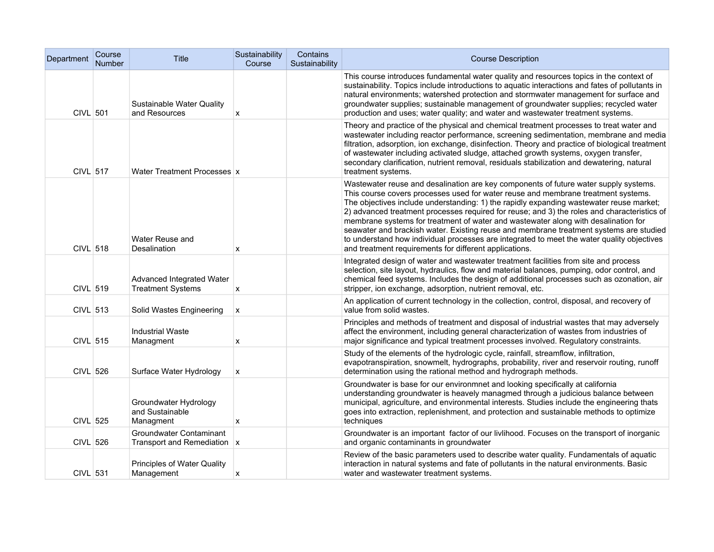| Department      | Course<br>Number | <b>Title</b>                                             | Sustainability<br>Course  | Contains<br>Sustainability | <b>Course Description</b>                                                                                                                                                                                                                                                                                                                                                                                                                                                                                                                                                                                                                                                                                   |
|-----------------|------------------|----------------------------------------------------------|---------------------------|----------------------------|-------------------------------------------------------------------------------------------------------------------------------------------------------------------------------------------------------------------------------------------------------------------------------------------------------------------------------------------------------------------------------------------------------------------------------------------------------------------------------------------------------------------------------------------------------------------------------------------------------------------------------------------------------------------------------------------------------------|
| CIVL 501        |                  | Sustainable Water Quality<br>and Resources               | X                         |                            | This course introduces fundamental water quality and resources topics in the context of<br>sustainability. Topics include introductions to aquatic interactions and fates of pollutants in<br>natural environments; watershed protection and stormwater management for surface and<br>groundwater supplies; sustainable management of groundwater supplies; recycled water<br>production and uses; water quality; and water and wastewater treatment systems.                                                                                                                                                                                                                                               |
| <b>CIVL 517</b> |                  | Water Treatment Processes x                              |                           |                            | Theory and practice of the physical and chemical treatment processes to treat water and<br>wastewater including reactor performance, screening sedimentation, membrane and media<br>filtration, adsorption, ion exchange, disinfection. Theory and practice of biological treatment<br>of wastewater including activated sludge, attached growth systems, oxygen transfer,<br>secondary clarification, nutrient removal, residuals stabilization and dewatering, natural<br>treatment systems.                                                                                                                                                                                                              |
| <b>CIVL 518</b> |                  | Water Reuse and<br>Desalination                          | X                         |                            | Wastewater reuse and desalination are key components of future water supply systems.<br>This course covers processes used for water reuse and membrane treatment systems.<br>The objectives include understanding: 1) the rapidly expanding wastewater reuse market;<br>2) advanced treatment processes required for reuse; and 3) the roles and characteristics of<br>membrane systems for treatment of water and wastewater along with desalination for<br>seawater and brackish water. Existing reuse and membrane treatment systems are studied<br>to understand how individual processes are integrated to meet the water quality objectives<br>and treatment requirements for different applications. |
| CIVL 519        |                  | Advanced Integrated Water<br><b>Treatment Systems</b>    | X                         |                            | Integrated design of water and wastewater treatment facilities from site and process<br>selection, site layout, hydraulics, flow and material balances, pumping, odor control, and<br>chemical feed systems. Includes the design of additional processes such as ozonation, air<br>stripper, ion exchange, adsorption, nutrient removal, etc.                                                                                                                                                                                                                                                                                                                                                               |
| CIVL 513        |                  | Solid Wastes Engineering                                 | X                         |                            | An application of current technology in the collection, control, disposal, and recovery of<br>value from solid wastes.                                                                                                                                                                                                                                                                                                                                                                                                                                                                                                                                                                                      |
| CIVL 515        |                  | <b>Industrial Waste</b><br>Managment                     | $\boldsymbol{\mathsf{x}}$ |                            | Principles and methods of treatment and disposal of industrial wastes that may adversely<br>affect the environment, including general characterization of wastes from industries of<br>major significance and typical treatment processes involved. Regulatory constraints.                                                                                                                                                                                                                                                                                                                                                                                                                                 |
| <b>CIVL 526</b> |                  | Surface Water Hydrology                                  | X                         |                            | Study of the elements of the hydrologic cycle, rainfall, streamflow, infiltration,<br>evapotranspiration, snowmelt, hydrographs, probability, river and reservoir routing, runoff<br>determination using the rational method and hydrograph methods.                                                                                                                                                                                                                                                                                                                                                                                                                                                        |
| CIVL 525        |                  | Groundwater Hydrology<br>and Sustainable<br>Managment    | X                         |                            | Groundwater is base for our environmnet and looking specifically at california<br>understanding groundwater is heavely managmed through a judicious balance between<br>municipal, agriculture, and environmental interests. Studies include the engineering thats<br>goes into extraction, replenishment, and protection and sustainable methods to optimize<br>techniques                                                                                                                                                                                                                                                                                                                                  |
| CIVL 526        |                  | Groundwater Contaminant<br>Transport and Remediation   x |                           |                            | Groundwater is an important factor of our livlihood. Focuses on the transport of inorganic<br>and organic contaminants in groundwater                                                                                                                                                                                                                                                                                                                                                                                                                                                                                                                                                                       |
| CIVL 531        |                  | Principles of Water Quality<br>Management                | X                         |                            | Review of the basic parameters used to describe water quality. Fundamentals of aquatic<br>interaction in natural systems and fate of pollutants in the natural environments. Basic<br>water and wastewater treatment systems.                                                                                                                                                                                                                                                                                                                                                                                                                                                                               |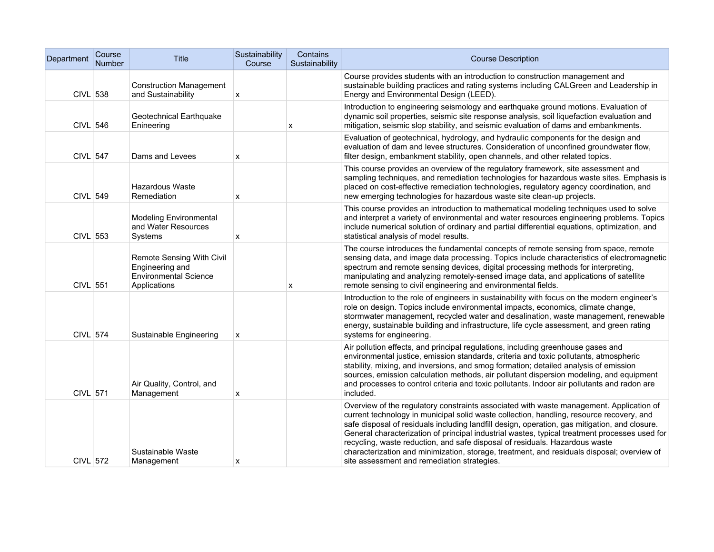| Department      | Course<br><b>Number</b> | Title                                                                                        | Sustainability<br>Course | Contains<br>Sustainability | <b>Course Description</b>                                                                                                                                                                                                                                                                                                                                                                                                                                                                                                                                                                                         |
|-----------------|-------------------------|----------------------------------------------------------------------------------------------|--------------------------|----------------------------|-------------------------------------------------------------------------------------------------------------------------------------------------------------------------------------------------------------------------------------------------------------------------------------------------------------------------------------------------------------------------------------------------------------------------------------------------------------------------------------------------------------------------------------------------------------------------------------------------------------------|
| <b>CIVL 538</b> |                         | <b>Construction Management</b><br>and Sustainability                                         | х                        |                            | Course provides students with an introduction to construction management and<br>sustainable building practices and rating systems including CALGreen and Leadership in<br>Energy and Environmental Design (LEED).                                                                                                                                                                                                                                                                                                                                                                                                 |
| $CIVL$ 546      |                         | Geotechnical Earthquake<br>Enineering                                                        |                          | х                          | Introduction to engineering seismology and earthquake ground motions. Evaluation of<br>dynamic soil properties, seismic site response analysis, soil liquefaction evaluation and<br>mitigation, seismic slop stability, and seismic evaluation of dams and embankments.                                                                                                                                                                                                                                                                                                                                           |
| CIVL 547        |                         | Dams and Levees                                                                              | x                        |                            | Evaluation of geotechnical, hydrology, and hydraulic components for the design and<br>evaluation of dam and levee structures. Consideration of unconfined groundwater flow,<br>filter design, embankment stability, open channels, and other related topics.                                                                                                                                                                                                                                                                                                                                                      |
| CIVL 549        |                         | <b>Hazardous Waste</b><br>Remediation                                                        | X                        |                            | This course provides an overview of the regulatory framework, site assessment and<br>sampling techniques, and remediation technologies for hazardous waste sites. Emphasis is<br>placed on cost-effective remediation technologies, regulatory agency coordination, and<br>new emerging technologies for hazardous waste site clean-up projects.                                                                                                                                                                                                                                                                  |
| CIVL 553        |                         | <b>Modeling Environmental</b><br>and Water Resources<br>Systems                              | x                        |                            | This course provides an introduction to mathematical modeling techniques used to solve<br>and interpret a variety of environmental and water resources engineering problems. Topics<br>include numerical solution of ordinary and partial differential equations, optimization, and<br>statistical analysis of model results.                                                                                                                                                                                                                                                                                     |
| CIVL 551        |                         | Remote Sensing With Civil<br>Engineering and<br><b>Environmental Science</b><br>Applications |                          | X                          | The course introduces the fundamental concepts of remote sensing from space, remote<br>sensing data, and image data processing. Topics include characteristics of electromagnetic<br>spectrum and remote sensing devices, digital processing methods for interpreting,<br>manipulating and analyzing remotely-sensed image data, and applications of satellite<br>remote sensing to civil engineering and environmental fields.                                                                                                                                                                                   |
| CIVL 574        |                         | Sustainable Engineering                                                                      | x                        |                            | Introduction to the role of engineers in sustainability with focus on the modern engineer's<br>role on design. Topics include environmental impacts, economics, climate change,<br>stormwater management, recycled water and desalination, waste management, renewable<br>energy, sustainable building and infrastructure, life cycle assessment, and green rating<br>systems for engineering.                                                                                                                                                                                                                    |
| CIVL 571        |                         | Air Quality, Control, and<br>Management                                                      | x                        |                            | Air pollution effects, and principal regulations, including greenhouse gases and<br>environmental justice, emission standards, criteria and toxic pollutants, atmospheric<br>stability, mixing, and inversions, and smog formation; detailed analysis of emission<br>sources, emission calculation methods, air pollutant dispersion modeling, and equipment<br>and processes to control criteria and toxic pollutants. Indoor air pollutants and radon are<br>included.                                                                                                                                          |
| <b>CIVL 572</b> |                         | Sustainable Waste<br>Management                                                              | х                        |                            | Overview of the regulatory constraints associated with waste management. Application of<br>current technology in municipal solid waste collection, handling, resource recovery, and<br>safe disposal of residuals including landfill design, operation, gas mitigation, and closure.<br>General characterization of principal industrial wastes, typical treatment processes used for<br>recycling, waste reduction, and safe disposal of residuals. Hazardous waste<br>characterization and minimization, storage, treatment, and residuals disposal; overview of<br>site assessment and remediation strategies. |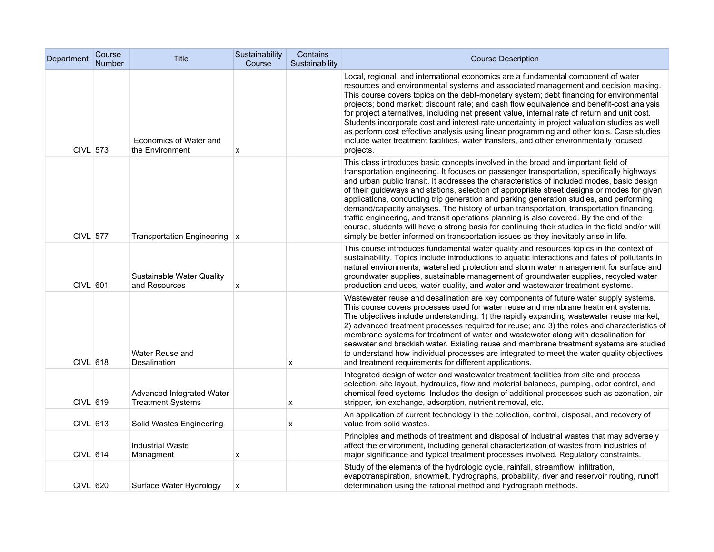| Department | Course<br><b>Number</b> | Title                                                 | Sustainability<br>Course | Contains<br>Sustainability | <b>Course Description</b>                                                                                                                                                                                                                                                                                                                                                                                                                                                                                                                                                                                                                                                                                                                                                                                                                                |
|------------|-------------------------|-------------------------------------------------------|--------------------------|----------------------------|----------------------------------------------------------------------------------------------------------------------------------------------------------------------------------------------------------------------------------------------------------------------------------------------------------------------------------------------------------------------------------------------------------------------------------------------------------------------------------------------------------------------------------------------------------------------------------------------------------------------------------------------------------------------------------------------------------------------------------------------------------------------------------------------------------------------------------------------------------|
| CIVL 573   |                         | Economics of Water and<br>the Environment             | x                        |                            | Local, regional, and international economics are a fundamental component of water<br>resources and environmental systems and associated management and decision making.<br>This course covers topics on the debt-monetary system; debt financing for environmental<br>projects; bond market; discount rate; and cash flow equivalence and benefit-cost analysis<br>for project alternatives, including net present value, internal rate of return and unit cost.<br>Students incorporate cost and interest rate uncertainty in project valuation studies as well<br>as perform cost effective analysis using linear programming and other tools. Case studies<br>include water treatment facilities, water transfers, and other environmentally focused<br>projects.                                                                                     |
| CIVL 577   |                         | Transportation Engineering   x                        |                          |                            | This class introduces basic concepts involved in the broad and important field of<br>transportation engineering. It focuses on passenger transportation, specifically highways<br>and urban public transit. It addresses the characteristics of included modes, basic design<br>of their guideways and stations, selection of appropriate street designs or modes for given<br>applications, conducting trip generation and parking generation studies, and performing<br>demand/capacity analyses. The history of urban transportation, transportation financing,<br>traffic engineering, and transit operations planning is also covered. By the end of the<br>course, students will have a strong basis for continuing their studies in the field and/or will<br>simply be better informed on transportation issues as they inevitably arise in life. |
| CIVL 601   |                         | Sustainable Water Quality<br>and Resources            | х                        |                            | This course introduces fundamental water quality and resources topics in the context of<br>sustainability. Topics include introductions to aquatic interactions and fates of pollutants in<br>natural environments, watershed protection and storm water management for surface and<br>groundwater supplies, sustainable management of groundwater supplies, recycled water<br>production and uses, water quality, and water and wastewater treatment systems.                                                                                                                                                                                                                                                                                                                                                                                           |
| CIVL 618   |                         | Water Reuse and<br>Desalination                       |                          | X                          | Wastewater reuse and desalination are key components of future water supply systems.<br>This course covers processes used for water reuse and membrane treatment systems.<br>The objectives include understanding: 1) the rapidly expanding wastewater reuse market;<br>2) advanced treatment processes required for reuse; and 3) the roles and characteristics of<br>membrane systems for treatment of water and wastewater along with desalination for<br>seawater and brackish water. Existing reuse and membrane treatment systems are studied<br>to understand how individual processes are integrated to meet the water quality objectives<br>and treatment requirements for different applications.                                                                                                                                              |
| CIVL 619   |                         | Advanced Integrated Water<br><b>Treatment Systems</b> |                          | X                          | Integrated design of water and wastewater treatment facilities from site and process<br>selection, site layout, hydraulics, flow and material balances, pumping, odor control, and<br>chemical feed systems. Includes the design of additional processes such as ozonation, air<br>stripper, ion exchange, adsorption, nutrient removal, etc.                                                                                                                                                                                                                                                                                                                                                                                                                                                                                                            |
| $CIVL$ 613 |                         | Solid Wastes Engineering                              |                          | x                          | An application of current technology in the collection, control, disposal, and recovery of<br>value from solid wastes.                                                                                                                                                                                                                                                                                                                                                                                                                                                                                                                                                                                                                                                                                                                                   |
| $CIVL$ 614 |                         | <b>Industrial Waste</b><br>Managment                  | x                        |                            | Principles and methods of treatment and disposal of industrial wastes that may adversely<br>affect the environment, including general characterization of wastes from industries of<br>major significance and typical treatment processes involved. Regulatory constraints.                                                                                                                                                                                                                                                                                                                                                                                                                                                                                                                                                                              |
| CIVL 620   |                         | Surface Water Hydrology                               | x                        |                            | Study of the elements of the hydrologic cycle, rainfall, streamflow, infiltration,<br>evapotranspiration, snowmelt, hydrographs, probability, river and reservoir routing, runoff<br>determination using the rational method and hydrograph methods.                                                                                                                                                                                                                                                                                                                                                                                                                                                                                                                                                                                                     |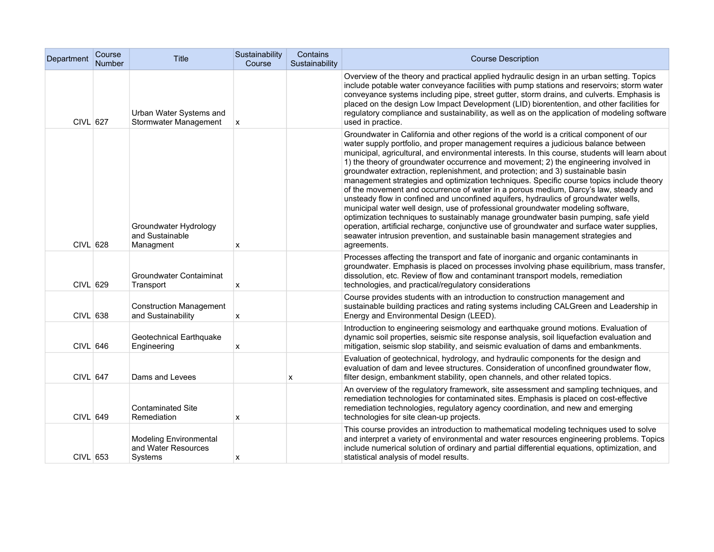| Department | Course<br>Number | Title                                                           | Sustainability<br>Course | Contains<br>Sustainability | <b>Course Description</b>                                                                                                                                                                                                                                                                                                                                                                                                                                                                                                                                                                                                                                                                                                                                                                                                                                                                                                                                                                                                                                                                                      |
|------------|------------------|-----------------------------------------------------------------|--------------------------|----------------------------|----------------------------------------------------------------------------------------------------------------------------------------------------------------------------------------------------------------------------------------------------------------------------------------------------------------------------------------------------------------------------------------------------------------------------------------------------------------------------------------------------------------------------------------------------------------------------------------------------------------------------------------------------------------------------------------------------------------------------------------------------------------------------------------------------------------------------------------------------------------------------------------------------------------------------------------------------------------------------------------------------------------------------------------------------------------------------------------------------------------|
| CIVL 627   |                  | Urban Water Systems and<br>Stormwater Management                | X                        |                            | Overview of the theory and practical applied hydraulic design in an urban setting. Topics<br>include potable water conveyance facilities with pump stations and reservoirs; storm water<br>conveyance systems including pipe, street gutter, storm drains, and culverts. Emphasis is<br>placed on the design Low Impact Development (LID) biorentention, and other facilities for<br>regulatory compliance and sustainability, as well as on the application of modeling software<br>used in practice.                                                                                                                                                                                                                                                                                                                                                                                                                                                                                                                                                                                                         |
| CIVL 628   |                  | Groundwater Hydrology<br>and Sustainable<br>Managment           | X                        |                            | Groundwater in California and other regions of the world is a critical component of our<br>water supply portfolio, and proper management requires a judicious balance between<br>municipal, agricultural, and environmental interests. In this course, students will learn about<br>1) the theory of groundwater occurrence and movement; 2) the engineering involved in<br>groundwater extraction, replenishment, and protection; and 3) sustainable basin<br>management strategies and optimization techniques. Specific course topics include theory<br>of the movement and occurrence of water in a porous medium, Darcy's law, steady and<br>unsteady flow in confined and unconfined aquifers, hydraulics of groundwater wells,<br>municipal water well design, use of professional groundwater modeling software,<br>optimization techniques to sustainably manage groundwater basin pumping, safe yield<br>operation, artificial recharge, conjunctive use of groundwater and surface water supplies,<br>seawater intrusion prevention, and sustainable basin management strategies and<br>agreements. |
| CIVL 629   |                  | Groundwater Contaiminat<br>Transport                            | X                        |                            | Processes affecting the transport and fate of inorganic and organic contaminants in<br>groundwater. Emphasis is placed on processes involving phase equilibrium, mass transfer,<br>dissolution, etc. Review of flow and contaminant transport models, remediation<br>technologies, and practical/regulatory considerations                                                                                                                                                                                                                                                                                                                                                                                                                                                                                                                                                                                                                                                                                                                                                                                     |
| CIVL 638   |                  | <b>Construction Management</b><br>and Sustainability            | x                        |                            | Course provides students with an introduction to construction management and<br>sustainable building practices and rating systems including CALGreen and Leadership in<br>Energy and Environmental Design (LEED).                                                                                                                                                                                                                                                                                                                                                                                                                                                                                                                                                                                                                                                                                                                                                                                                                                                                                              |
| CIVL 646   |                  | Geotechnical Earthquake<br>Engineering                          | X                        |                            | Introduction to engineering seismology and earthquake ground motions. Evaluation of<br>dynamic soil properties, seismic site response analysis, soil liquefaction evaluation and<br>mitigation, seismic slop stability, and seismic evaluation of dams and embankments.                                                                                                                                                                                                                                                                                                                                                                                                                                                                                                                                                                                                                                                                                                                                                                                                                                        |
| CIVL 647   |                  | Dams and Levees                                                 |                          | x                          | Evaluation of geotechnical, hydrology, and hydraulic components for the design and<br>evaluation of dam and levee structures. Consideration of unconfined groundwater flow,<br>filter design, embankment stability, open channels, and other related topics.                                                                                                                                                                                                                                                                                                                                                                                                                                                                                                                                                                                                                                                                                                                                                                                                                                                   |
| CIVL 649   |                  | <b>Contaminated Site</b><br>Remediation                         | X                        |                            | An overview of the regulatory framework, site assessment and sampling techniques, and<br>remediation technologies for contaminated sites. Emphasis is placed on cost-effective<br>remediation technologies, regulatory agency coordination, and new and emerging<br>technologies for site clean-up projects.                                                                                                                                                                                                                                                                                                                                                                                                                                                                                                                                                                                                                                                                                                                                                                                                   |
| CIVL 653   |                  | <b>Modeling Environmental</b><br>and Water Resources<br>Systems | х                        |                            | This course provides an introduction to mathematical modeling techniques used to solve<br>and interpret a variety of environmental and water resources engineering problems. Topics<br>include numerical solution of ordinary and partial differential equations, optimization, and<br>statistical analysis of model results.                                                                                                                                                                                                                                                                                                                                                                                                                                                                                                                                                                                                                                                                                                                                                                                  |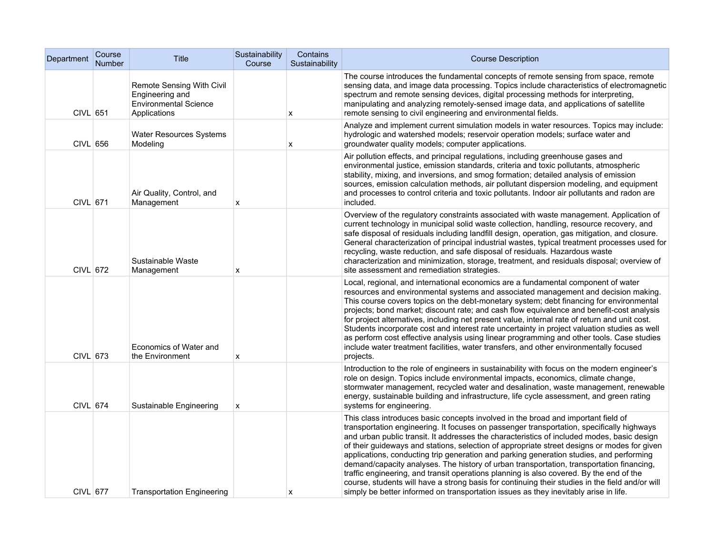| Department | Course<br>Number | Title                                                                                        | Sustainability<br>Course | Contains<br>Sustainability | <b>Course Description</b>                                                                                                                                                                                                                                                                                                                                                                                                                                                                                                                                                                                                                                                                                                                                                                                                                                |
|------------|------------------|----------------------------------------------------------------------------------------------|--------------------------|----------------------------|----------------------------------------------------------------------------------------------------------------------------------------------------------------------------------------------------------------------------------------------------------------------------------------------------------------------------------------------------------------------------------------------------------------------------------------------------------------------------------------------------------------------------------------------------------------------------------------------------------------------------------------------------------------------------------------------------------------------------------------------------------------------------------------------------------------------------------------------------------|
| $CIVL$ 651 |                  | Remote Sensing With Civil<br>Engineering and<br><b>Environmental Science</b><br>Applications |                          | x                          | The course introduces the fundamental concepts of remote sensing from space, remote<br>sensing data, and image data processing. Topics include characteristics of electromagnetic<br>spectrum and remote sensing devices, digital processing methods for interpreting,<br>manipulating and analyzing remotely-sensed image data, and applications of satellite<br>remote sensing to civil engineering and environmental fields.                                                                                                                                                                                                                                                                                                                                                                                                                          |
| CIVL 656   |                  | <b>Water Resources Systems</b><br>Modeling                                                   |                          | х                          | Analyze and implement current simulation models in water resources. Topics may include:<br>hydrologic and watershed models; reservoir operation models; surface water and<br>groundwater quality models; computer applications.                                                                                                                                                                                                                                                                                                                                                                                                                                                                                                                                                                                                                          |
| CIVL 671   |                  | Air Quality, Control, and<br>Management                                                      | x                        |                            | Air pollution effects, and principal regulations, including greenhouse gases and<br>environmental justice, emission standards, criteria and toxic pollutants, atmospheric<br>stability, mixing, and inversions, and smog formation; detailed analysis of emission<br>sources, emission calculation methods, air pollutant dispersion modeling, and equipment<br>and processes to control criteria and toxic pollutants. Indoor air pollutants and radon are<br>included.                                                                                                                                                                                                                                                                                                                                                                                 |
| CIVL 672   |                  | Sustainable Waste<br>Management                                                              | x                        |                            | Overview of the regulatory constraints associated with waste management. Application of<br>current technology in municipal solid waste collection, handling, resource recovery, and<br>safe disposal of residuals including landfill design, operation, gas mitigation, and closure.<br>General characterization of principal industrial wastes, typical treatment processes used for<br>recycling, waste reduction, and safe disposal of residuals. Hazardous waste<br>characterization and minimization, storage, treatment, and residuals disposal; overview of<br>site assessment and remediation strategies.                                                                                                                                                                                                                                        |
| CIVL 673   |                  | Economics of Water and<br>the Environment                                                    | X                        |                            | Local, regional, and international economics are a fundamental component of water<br>resources and environmental systems and associated management and decision making.<br>This course covers topics on the debt-monetary system; debt financing for environmental<br>projects; bond market; discount rate; and cash flow equivalence and benefit-cost analysis<br>for project alternatives, including net present value, internal rate of return and unit cost.<br>Students incorporate cost and interest rate uncertainty in project valuation studies as well<br>as perform cost effective analysis using linear programming and other tools. Case studies<br>include water treatment facilities, water transfers, and other environmentally focused<br>projects.                                                                                     |
| CIVL 674   |                  | Sustainable Engineering                                                                      | X                        |                            | Introduction to the role of engineers in sustainability with focus on the modern engineer's<br>role on design. Topics include environmental impacts, economics, climate change,<br>stormwater management, recycled water and desalination, waste management, renewable<br>energy, sustainable building and infrastructure, life cycle assessment, and green rating<br>systems for engineering.                                                                                                                                                                                                                                                                                                                                                                                                                                                           |
| CIVL 677   |                  | <b>Transportation Engineering</b>                                                            |                          | х                          | This class introduces basic concepts involved in the broad and important field of<br>transportation engineering. It focuses on passenger transportation, specifically highways<br>and urban public transit. It addresses the characteristics of included modes, basic design<br>of their guideways and stations, selection of appropriate street designs or modes for given<br>applications, conducting trip generation and parking generation studies, and performing<br>demand/capacity analyses. The history of urban transportation, transportation financing,<br>traffic engineering, and transit operations planning is also covered. By the end of the<br>course, students will have a strong basis for continuing their studies in the field and/or will<br>simply be better informed on transportation issues as they inevitably arise in life. |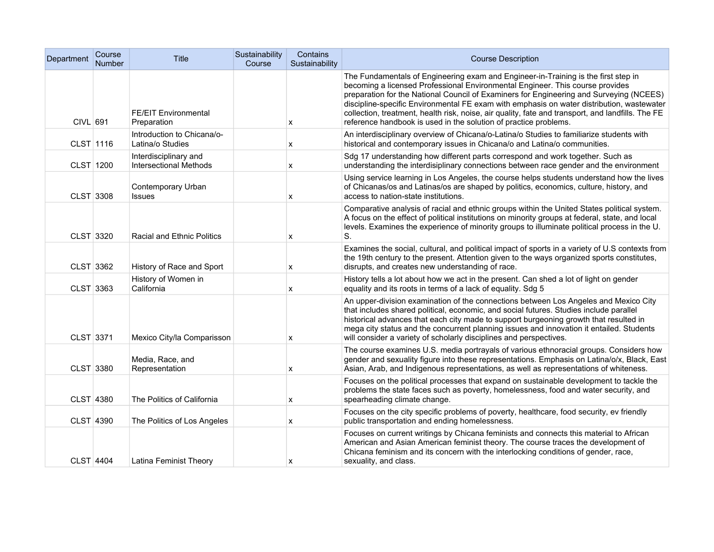| Department       | Course<br><b>Number</b> | <b>Title</b>                                           | Sustainability<br>Course | Contains<br>Sustainability | <b>Course Description</b>                                                                                                                                                                                                                                                                                                                                                                                                                                                                                                            |
|------------------|-------------------------|--------------------------------------------------------|--------------------------|----------------------------|--------------------------------------------------------------------------------------------------------------------------------------------------------------------------------------------------------------------------------------------------------------------------------------------------------------------------------------------------------------------------------------------------------------------------------------------------------------------------------------------------------------------------------------|
| CIVL 691         |                         | <b>FE/EIT Environmental</b><br>Preparation             |                          | x                          | The Fundamentals of Engineering exam and Engineer-in-Training is the first step in<br>becoming a licensed Professional Environmental Engineer. This course provides<br>preparation for the National Council of Examiners for Engineering and Surveying (NCEES)<br>discipline-specific Environmental FE exam with emphasis on water distribution, wastewater<br>collection, treatment, health risk, noise, air quality, fate and transport, and landfills. The FE<br>reference handbook is used in the solution of practice problems. |
| CLST 1116        |                         | Introduction to Chicana/o-<br>Latina/o Studies         |                          | х                          | An interdisciplinary overview of Chicana/o-Latina/o Studies to familiarize students with<br>historical and contemporary issues in Chicana/o and Latina/o communities.                                                                                                                                                                                                                                                                                                                                                                |
| CLST 1200        |                         | Interdisciplinary and<br><b>Intersectional Methods</b> |                          | x                          | Sdg 17 understanding how different parts correspond and work together. Such as<br>understanding the interdisiplinary connections between race gender and the environment                                                                                                                                                                                                                                                                                                                                                             |
| CLST 3308        |                         | Contemporary Urban<br><b>Issues</b>                    |                          | x                          | Using service learning in Los Angeles, the course helps students understand how the lives<br>of Chicanas/os and Latinas/os are shaped by politics, economics, culture, history, and<br>access to nation-state institutions.                                                                                                                                                                                                                                                                                                          |
| CLST 3320        |                         | Racial and Ethnic Politics                             |                          | x                          | Comparative analysis of racial and ethnic groups within the United States political system.<br>A focus on the effect of political institutions on minority groups at federal, state, and local<br>levels. Examines the experience of minority groups to illuminate political process in the U.<br>S.                                                                                                                                                                                                                                 |
| CLST 3362        |                         | History of Race and Sport                              |                          | x                          | Examines the social, cultural, and political impact of sports in a variety of U.S contexts from<br>the 19th century to the present. Attention given to the ways organized sports constitutes,<br>disrupts, and creates new understanding of race.                                                                                                                                                                                                                                                                                    |
| CLST 3363        |                         | History of Women in<br>California                      |                          | x                          | History tells a lot about how we act in the present. Can shed a lot of light on gender<br>equality and its roots in terms of a lack of equality. Sdg 5                                                                                                                                                                                                                                                                                                                                                                               |
| CLST 3371        |                         | Mexico City/la Comparisson                             |                          | x                          | An upper-division examination of the connections between Los Angeles and Mexico City<br>that includes shared political, economic, and social futures. Studies include parallel<br>historical advances that each city made to support burgeoning growth that resulted in<br>mega city status and the concurrent planning issues and innovation it entailed. Students<br>will consider a variety of scholarly disciplines and perspectives.                                                                                            |
| CLST 3380        |                         | Media, Race, and<br>Representation                     |                          | x                          | The course examines U.S. media portrayals of various ethnoracial groups. Considers how<br>gender and sexuality figure into these representations. Emphasis on Latina/o/x, Black, East<br>Asian, Arab, and Indigenous representations, as well as representations of whiteness.                                                                                                                                                                                                                                                       |
| CLST 4380        |                         | The Politics of California                             |                          | x                          | Focuses on the political processes that expand on sustainable development to tackle the<br>problems the state faces such as poverty, homelessness, food and water security, and<br>spearheading climate change.                                                                                                                                                                                                                                                                                                                      |
| CLST 4390        |                         | The Politics of Los Angeles                            |                          | x                          | Focuses on the city specific problems of poverty, healthcare, food security, ev friendly<br>public transportation and ending homelessness.                                                                                                                                                                                                                                                                                                                                                                                           |
| <b>CLST 4404</b> |                         | Latina Feminist Theory                                 |                          | х                          | Focuses on current writings by Chicana feminists and connects this material to African<br>American and Asian American feminist theory. The course traces the development of<br>Chicana feminism and its concern with the interlocking conditions of gender, race,<br>sexuality, and class.                                                                                                                                                                                                                                           |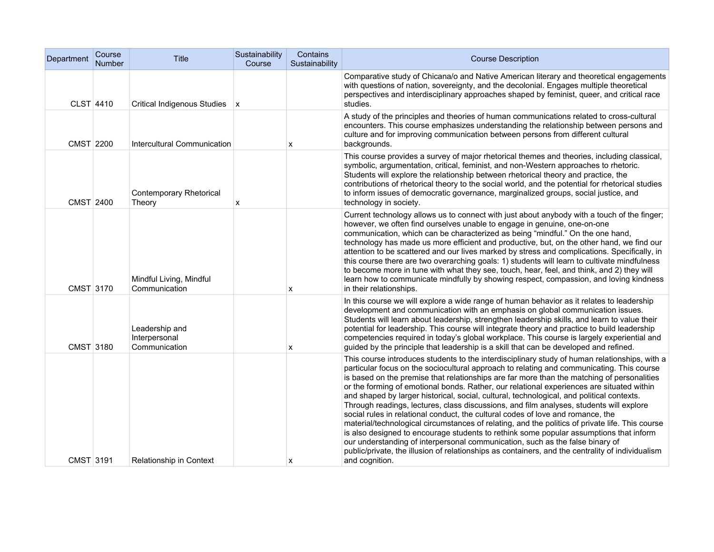| Department | Course<br><b>Number</b> | <b>Title</b>                                     | Sustainability<br>Course | Contains<br>Sustainability | <b>Course Description</b>                                                                                                                                                                                                                                                                                                                                                                                                                                                                                                                                                                                                                                                                                                                                                                                                                                                                                                                                                                                                                                            |
|------------|-------------------------|--------------------------------------------------|--------------------------|----------------------------|----------------------------------------------------------------------------------------------------------------------------------------------------------------------------------------------------------------------------------------------------------------------------------------------------------------------------------------------------------------------------------------------------------------------------------------------------------------------------------------------------------------------------------------------------------------------------------------------------------------------------------------------------------------------------------------------------------------------------------------------------------------------------------------------------------------------------------------------------------------------------------------------------------------------------------------------------------------------------------------------------------------------------------------------------------------------|
| CLST 4410  |                         | Critical Indigenous Studies   x                  |                          |                            | Comparative study of Chicana/o and Native American literary and theoretical engagements<br>with questions of nation, sovereignty, and the decolonial. Engages multiple theoretical<br>perspectives and interdisciplinary approaches shaped by feminist, queer, and critical race<br>studies.                                                                                                                                                                                                                                                                                                                                                                                                                                                                                                                                                                                                                                                                                                                                                                         |
| CMST 2200  |                         | Intercultural Communication                      |                          | x                          | A study of the principles and theories of human communications related to cross-cultural<br>encounters. This course emphasizes understanding the relationship between persons and<br>culture and for improving communication between persons from different cultural<br>backgrounds.                                                                                                                                                                                                                                                                                                                                                                                                                                                                                                                                                                                                                                                                                                                                                                                 |
| CMST 2400  |                         | Contemporary Rhetorical<br>Theory                | х                        |                            | This course provides a survey of major rhetorical themes and theories, including classical,<br>symbolic, argumentation, critical, feminist, and non-Western approaches to rhetoric.<br>Students will explore the relationship between rhetorical theory and practice, the<br>contributions of rhetorical theory to the social world, and the potential for rhetorical studies<br>to inform issues of democratic governance, marginalized groups, social justice, and<br>technology in society.                                                                                                                                                                                                                                                                                                                                                                                                                                                                                                                                                                       |
| CMST 3170  |                         | Mindful Living, Mindful<br>Communication         |                          | x                          | Current technology allows us to connect with just about anybody with a touch of the finger;<br>however, we often find ourselves unable to engage in genuine, one-on-one<br>communication, which can be characterized as being "mindful." On the one hand,<br>technology has made us more efficient and productive, but, on the other hand, we find our<br>attention to be scattered and our lives marked by stress and complications. Specifically, in<br>this course there are two overarching goals: 1) students will learn to cultivate mindfulness<br>to become more in tune with what they see, touch, hear, feel, and think, and 2) they will<br>learn how to communicate mindfully by showing respect, compassion, and loving kindness<br>in their relationships.                                                                                                                                                                                                                                                                                             |
| CMST 3180  |                         | Leadership and<br>Interpersonal<br>Communication |                          | x                          | In this course we will explore a wide range of human behavior as it relates to leadership<br>development and communication with an emphasis on global communication issues.<br>Students will learn about leadership, strengthen leadership skills, and learn to value their<br>potential for leadership. This course will integrate theory and practice to build leadership<br>competencies required in today's global workplace. This course is largely experiential and<br>guided by the principle that leadership is a skill that can be developed and refined.                                                                                                                                                                                                                                                                                                                                                                                                                                                                                                   |
| CMST 3191  |                         | Relationship in Context                          |                          | х                          | This course introduces students to the interdisciplinary study of human relationships, with a<br>particular focus on the sociocultural approach to relating and communicating. This course<br>is based on the premise that relationships are far more than the matching of personalities<br>or the forming of emotional bonds. Rather, our relational experiences are situated within<br>and shaped by larger historical, social, cultural, technological, and political contexts.<br>Through readings, lectures, class discussions, and film analyses, students will explore<br>social rules in relational conduct, the cultural codes of love and romance, the<br>material/technological circumstances of relating, and the politics of private life. This course<br>is also designed to encourage students to rethink some popular assumptions that inform<br>our understanding of interpersonal communication, such as the false binary of<br>public/private, the illusion of relationships as containers, and the centrality of individualism<br>and cognition. |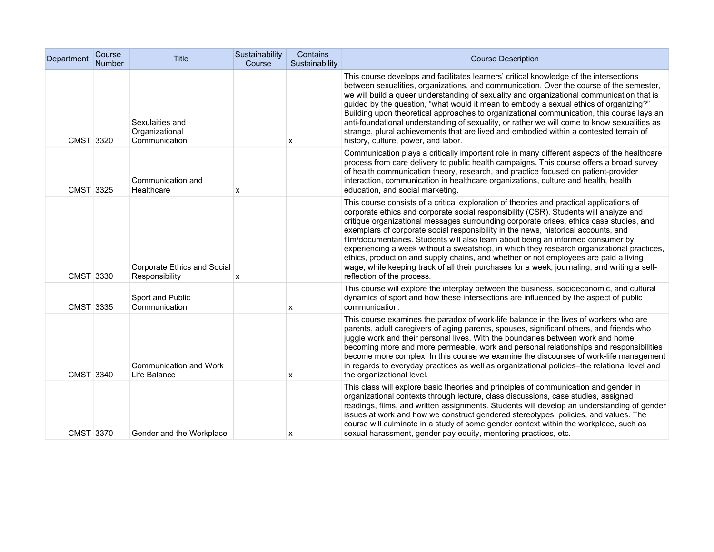| Department | Course<br><b>Number</b> | <b>Title</b>                                       | Sustainability<br>Course | Contains<br>Sustainability | <b>Course Description</b>                                                                                                                                                                                                                                                                                                                                                                                                                                                                                                                                                                                                                                                                                                                                                 |
|------------|-------------------------|----------------------------------------------------|--------------------------|----------------------------|---------------------------------------------------------------------------------------------------------------------------------------------------------------------------------------------------------------------------------------------------------------------------------------------------------------------------------------------------------------------------------------------------------------------------------------------------------------------------------------------------------------------------------------------------------------------------------------------------------------------------------------------------------------------------------------------------------------------------------------------------------------------------|
| CMST 3320  |                         | Sexulaities and<br>Organizational<br>Communication |                          | x                          | This course develops and facilitates learners' critical knowledge of the intersections<br>between sexualities, organizations, and communication. Over the course of the semester,<br>we will build a queer understanding of sexuality and organizational communication that is<br>guided by the question, "what would it mean to embody a sexual ethics of organizing?"<br>Building upon theoretical approaches to organizational communication, this course lays an<br>anti-foundational understanding of sexuality, or rather we will come to know sexualities as<br>strange, plural achievements that are lived and embodied within a contested terrain of<br>history, culture, power, and labor.                                                                      |
| CMST 3325  |                         | Communication and<br>Healthcare                    | x                        |                            | Communication plays a critically important role in many different aspects of the healthcare<br>process from care delivery to public health campaigns. This course offers a broad survey<br>of health communication theory, research, and practice focused on patient-provider<br>interaction, communication in healthcare organizations, culture and health, health<br>education, and social marketing.                                                                                                                                                                                                                                                                                                                                                                   |
| CMST 3330  |                         | Corporate Ethics and Social<br>Responsibility      | х                        |                            | This course consists of a critical exploration of theories and practical applications of<br>corporate ethics and corporate social responsibility (CSR). Students will analyze and<br>critique organizational messages surrounding corporate crises, ethics case studies, and<br>exemplars of corporate social responsibility in the news, historical accounts, and<br>film/documentaries. Students will also learn about being an informed consumer by<br>experiencing a week without a sweatshop, in which they research organizational practices,<br>ethics, production and supply chains, and whether or not employees are paid a living<br>wage, while keeping track of all their purchases for a week, journaling, and writing a self-<br>reflection of the process. |
| CMST 3335  |                         | Sport and Public<br>Communication                  |                          | X                          | This course will explore the interplay between the business, socioeconomic, and cultural<br>dynamics of sport and how these intersections are influenced by the aspect of public<br>communication.                                                                                                                                                                                                                                                                                                                                                                                                                                                                                                                                                                        |
| CMST 3340  |                         | Communication and Work<br>Life Balance             |                          | х                          | This course examines the paradox of work-life balance in the lives of workers who are<br>parents, adult caregivers of aging parents, spouses, significant others, and friends who<br>juggle work and their personal lives. With the boundaries between work and home<br>becoming more and more permeable, work and personal relationships and responsibilities<br>become more complex. In this course we examine the discourses of work-life management<br>in regards to everyday practices as well as organizational policies-the relational level and<br>the organizational level.                                                                                                                                                                                      |
| CMST 3370  |                         | Gender and the Workplace                           |                          | х                          | This class will explore basic theories and principles of communication and gender in<br>organizational contexts through lecture, class discussions, case studies, assigned<br>readings, films, and written assignments. Students will develop an understanding of gender<br>issues at work and how we construct gendered stereotypes, policies, and values. The<br>course will culminate in a study of some gender context within the workplace, such as<br>sexual harassment, gender pay equity, mentoring practices, etc.                                                                                                                                                                                                                                               |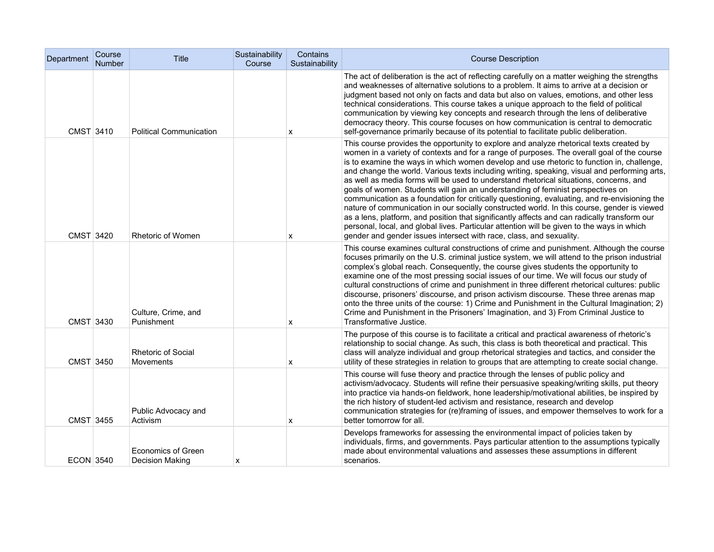| Department       | Course<br>Number | <b>Title</b>                                  | Sustainability<br>Course | Contains<br>Sustainability | <b>Course Description</b>                                                                                                                                                                                                                                                                                                                                                                                                                                                                                                                                                                                                                                                                                                                                                                                                                                                                                                                                                                                                           |
|------------------|------------------|-----------------------------------------------|--------------------------|----------------------------|-------------------------------------------------------------------------------------------------------------------------------------------------------------------------------------------------------------------------------------------------------------------------------------------------------------------------------------------------------------------------------------------------------------------------------------------------------------------------------------------------------------------------------------------------------------------------------------------------------------------------------------------------------------------------------------------------------------------------------------------------------------------------------------------------------------------------------------------------------------------------------------------------------------------------------------------------------------------------------------------------------------------------------------|
| CMST 3410        |                  | <b>Political Communication</b>                |                          | x                          | The act of deliberation is the act of reflecting carefully on a matter weighing the strengths<br>and weaknesses of alternative solutions to a problem. It aims to arrive at a decision or<br>judgment based not only on facts and data but also on values, emotions, and other less<br>technical considerations. This course takes a unique approach to the field of political<br>communication by viewing key concepts and research through the lens of deliberative<br>democracy theory. This course focuses on how communication is central to democratic<br>self-governance primarily because of its potential to facilitate public deliberation.                                                                                                                                                                                                                                                                                                                                                                               |
| CMST 3420        |                  | <b>Rhetoric of Women</b>                      |                          | x                          | This course provides the opportunity to explore and analyze rhetorical texts created by<br>women in a variety of contexts and for a range of purposes. The overall goal of the course<br>is to examine the ways in which women develop and use rhetoric to function in, challenge,<br>and change the world. Various texts including writing, speaking, visual and performing arts,<br>as well as media forms will be used to understand rhetorical situations, concerns, and<br>goals of women. Students will gain an understanding of feminist perspectives on<br>communication as a foundation for critically questioning, evaluating, and re-envisioning the<br>nature of communication in our socially constructed world. In this course, gender is viewed<br>as a lens, platform, and position that significantly affects and can radically transform our<br>personal, local, and global lives. Particular attention will be given to the ways in which<br>gender and gender issues intersect with race, class, and sexuality. |
| CMST 3430        |                  | Culture, Crime, and<br>Punishment             |                          | x                          | This course examines cultural constructions of crime and punishment. Although the course<br>focuses primarily on the U.S. criminal justice system, we will attend to the prison industrial<br>complex's global reach. Consequently, the course gives students the opportunity to<br>examine one of the most pressing social issues of our time. We will focus our study of<br>cultural constructions of crime and punishment in three different rhetorical cultures: public<br>discourse, prisoners' discourse, and prison activism discourse. These three arenas map<br>onto the three units of the course: 1) Crime and Punishment in the Cultural Imagination; 2)<br>Crime and Punishment in the Prisoners' Imagination, and 3) From Criminal Justice to<br>Transformative Justice.                                                                                                                                                                                                                                              |
| CMST 3450        |                  | <b>Rhetoric of Social</b><br><b>Movements</b> |                          | x                          | The purpose of this course is to facilitate a critical and practical awareness of rhetoric's<br>relationship to social change. As such, this class is both theoretical and practical. This<br>class will analyze individual and group rhetorical strategies and tactics, and consider the<br>utility of these strategies in relation to groups that are attempting to create social change.                                                                                                                                                                                                                                                                                                                                                                                                                                                                                                                                                                                                                                         |
| CMST 3455        |                  | Public Advocacy and<br>Activism               |                          | x                          | This course will fuse theory and practice through the lenses of public policy and<br>activism/advocacy. Students will refine their persuasive speaking/writing skills, put theory<br>into practice via hands-on fieldwork, hone leadership/motivational abilities, be inspired by<br>the rich history of student-led activism and resistance, research and develop<br>communication strategies for (re)framing of issues, and empower themselves to work for a<br>better tomorrow for all.                                                                                                                                                                                                                                                                                                                                                                                                                                                                                                                                          |
| <b>ECON 3540</b> |                  | <b>Economics of Green</b><br>Decision Making  | X                        |                            | Develops frameworks for assessing the environmental impact of policies taken by<br>individuals, firms, and governments. Pays particular attention to the assumptions typically<br>made about environmental valuations and assesses these assumptions in different<br>scenarios.                                                                                                                                                                                                                                                                                                                                                                                                                                                                                                                                                                                                                                                                                                                                                     |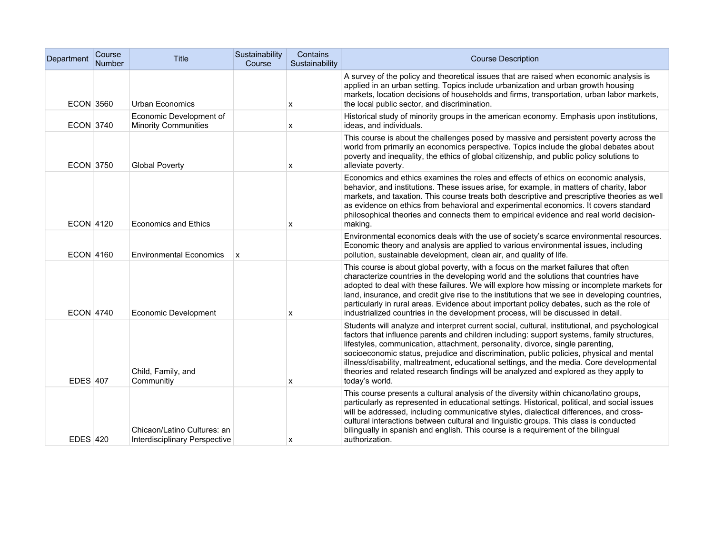| Department       | Course<br><b>Number</b> | <b>Title</b>                                                 | Sustainability<br>Course  | Contains<br>Sustainability | <b>Course Description</b>                                                                                                                                                                                                                                                                                                                                                                                                                                                                                                                                                          |
|------------------|-------------------------|--------------------------------------------------------------|---------------------------|----------------------------|------------------------------------------------------------------------------------------------------------------------------------------------------------------------------------------------------------------------------------------------------------------------------------------------------------------------------------------------------------------------------------------------------------------------------------------------------------------------------------------------------------------------------------------------------------------------------------|
| <b>ECON 3560</b> |                         | Urban Economics                                              |                           | x                          | A survey of the policy and theoretical issues that are raised when economic analysis is<br>applied in an urban setting. Topics include urbanization and urban growth housing<br>markets, location decisions of households and firms, transportation, urban labor markets,<br>the local public sector, and discrimination.                                                                                                                                                                                                                                                          |
| ECON 3740        |                         | Economic Development of<br><b>Minority Communities</b>       |                           | x                          | Historical study of minority groups in the american economy. Emphasis upon institutions,<br>ideas, and individuals.                                                                                                                                                                                                                                                                                                                                                                                                                                                                |
| <b>ECON 3750</b> |                         | <b>Global Poverty</b>                                        |                           | x                          | This course is about the challenges posed by massive and persistent poverty across the<br>world from primarily an economics perspective. Topics include the global debates about<br>poverty and inequality, the ethics of global citizenship, and public policy solutions to<br>alleviate poverty.                                                                                                                                                                                                                                                                                 |
| <b>ECON 4120</b> |                         | <b>Economics and Ethics</b>                                  |                           | x                          | Economics and ethics examines the roles and effects of ethics on economic analysis,<br>behavior, and institutions. These issues arise, for example, in matters of charity, labor<br>markets, and taxation. This course treats both descriptive and prescriptive theories as well<br>as evidence on ethics from behavioral and experimental economics. It covers standard<br>philosophical theories and connects them to empirical evidence and real world decision-<br>making.                                                                                                     |
| ECON 4160        |                         | <b>Environmental Economics</b>                               | $\boldsymbol{\mathsf{x}}$ |                            | Environmental economics deals with the use of society's scarce environmental resources.<br>Economic theory and analysis are applied to various environmental issues, including<br>pollution, sustainable development, clean air, and quality of life.                                                                                                                                                                                                                                                                                                                              |
| <b>ECON 4740</b> |                         | Economic Development                                         |                           | x                          | This course is about global poverty, with a focus on the market failures that often<br>characterize countries in the developing world and the solutions that countries have<br>adopted to deal with these failures. We will explore how missing or incomplete markets for<br>land, insurance, and credit give rise to the institutions that we see in developing countries,<br>particularly in rural areas. Evidence about important policy debates, such as the role of<br>industrialized countries in the development process, will be discussed in detail.                      |
| <b>EDES 407</b>  |                         | Child, Family, and<br>Communitiy                             |                           | x                          | Students will analyze and interpret current social, cultural, institutional, and psychological<br>factors that influence parents and children including: support systems, family structures,<br>lifestyles, communication, attachment, personality, divorce, single parenting,<br>socioeconomic status, prejudice and discrimination, public policies, physical and mental<br>illness/disability, maltreatment, educational settings, and the media. Core developmental<br>theories and related research findings will be analyzed and explored as they apply to<br>today's world. |
| <b>EDES 420</b>  |                         | Chicaon/Latino Cultures: an<br>Interdisciplinary Perspective |                           | x                          | This course presents a cultural analysis of the diversity within chicano/latino groups,<br>particularly as represented in educational settings. Historical, political, and social issues<br>will be addressed, including communicative styles, dialectical differences, and cross-<br>cultural interactions between cultural and linguistic groups. This class is conducted<br>bilingually in spanish and english. This course is a requirement of the bilingual<br>authorization.                                                                                                 |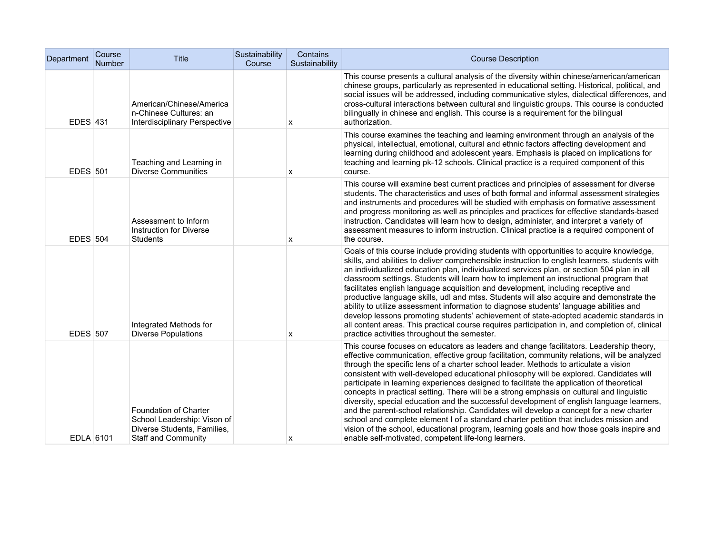| Department      | Course<br><b>Number</b> | <b>Title</b>                                                                                                      | Sustainability<br>Course | Contains<br>Sustainability | <b>Course Description</b>                                                                                                                                                                                                                                                                                                                                                                                                                                                                                                                                                                                                                                                                                                                                                                                                                                                                                                                                                                                   |
|-----------------|-------------------------|-------------------------------------------------------------------------------------------------------------------|--------------------------|----------------------------|-------------------------------------------------------------------------------------------------------------------------------------------------------------------------------------------------------------------------------------------------------------------------------------------------------------------------------------------------------------------------------------------------------------------------------------------------------------------------------------------------------------------------------------------------------------------------------------------------------------------------------------------------------------------------------------------------------------------------------------------------------------------------------------------------------------------------------------------------------------------------------------------------------------------------------------------------------------------------------------------------------------|
| <b>EDES 431</b> |                         | American/Chinese/America<br>n-Chinese Cultures: an<br><b>Interdisciplinary Perspective</b>                        |                          | х                          | This course presents a cultural analysis of the diversity within chinese/american/american<br>chinese groups, particularly as represented in educational setting. Historical, political, and<br>social issues will be addressed, including communicative styles, dialectical differences, and<br>cross-cultural interactions between cultural and linguistic groups. This course is conducted<br>bilingually in chinese and english. This course is a requirement for the bilingual<br>authorization.                                                                                                                                                                                                                                                                                                                                                                                                                                                                                                       |
| <b>EDES</b> 501 |                         | Teaching and Learning in<br><b>Diverse Communities</b>                                                            |                          | x                          | This course examines the teaching and learning environment through an analysis of the<br>physical, intellectual, emotional, cultural and ethnic factors affecting development and<br>learning during childhood and adolescent years. Emphasis is placed on implications for<br>teaching and learning pk-12 schools. Clinical practice is a required component of this<br>course.                                                                                                                                                                                                                                                                                                                                                                                                                                                                                                                                                                                                                            |
| <b>EDES</b> 504 |                         | Assessment to Inform<br>Instruction for Diverse<br><b>Students</b>                                                |                          | х                          | This course will examine best current practices and principles of assessment for diverse<br>students. The characteristics and uses of both formal and informal assessment strategies<br>and instruments and procedures will be studied with emphasis on formative assessment<br>and progress monitoring as well as principles and practices for effective standards-based<br>instruction. Candidates will learn how to design, administer, and interpret a variety of<br>assessment measures to inform instruction. Clinical practice is a required component of<br>the course.                                                                                                                                                                                                                                                                                                                                                                                                                             |
| <b>EDES 507</b> |                         | Integrated Methods for<br><b>Diverse Populations</b>                                                              |                          | x                          | Goals of this course include providing students with opportunities to acquire knowledge,<br>skills, and abilities to deliver comprehensible instruction to english learners, students with<br>an individualized education plan, individualized services plan, or section 504 plan in all<br>classroom settings. Students will learn how to implement an instructional program that<br>facilitates english language acquisition and development, including receptive and<br>productive language skills, udl and mtss. Students will also acquire and demonstrate the<br>ability to utilize assessment information to diagnose students' language abilities and<br>develop lessons promoting students' achievement of state-adopted academic standards in<br>all content areas. This practical course requires participation in, and completion of, clinical<br>practice activities throughout the semester.                                                                                                  |
| EDLA 6101       |                         | Foundation of Charter<br>School Leadership: Vison of<br>Diverse Students, Families,<br><b>Staff and Community</b> |                          | $\boldsymbol{\mathsf{x}}$  | This course focuses on educators as leaders and change facilitators. Leadership theory,<br>effective communication, effective group facilitation, community relations, will be analyzed<br>through the specific lens of a charter school leader. Methods to articulate a vision<br>consistent with well-developed educational philosophy will be explored. Candidates will<br>participate in learning experiences designed to facilitate the application of theoretical<br>concepts in practical setting. There will be a strong emphasis on cultural and linguistic<br>diversity, special education and the successful development of english language learners,<br>and the parent-school relationship. Candidates will develop a concept for a new charter<br>school and complete element I of a standard charter petition that includes mission and<br>vision of the school, educational program, learning goals and how those goals inspire and<br>enable self-motivated, competent life-long learners. |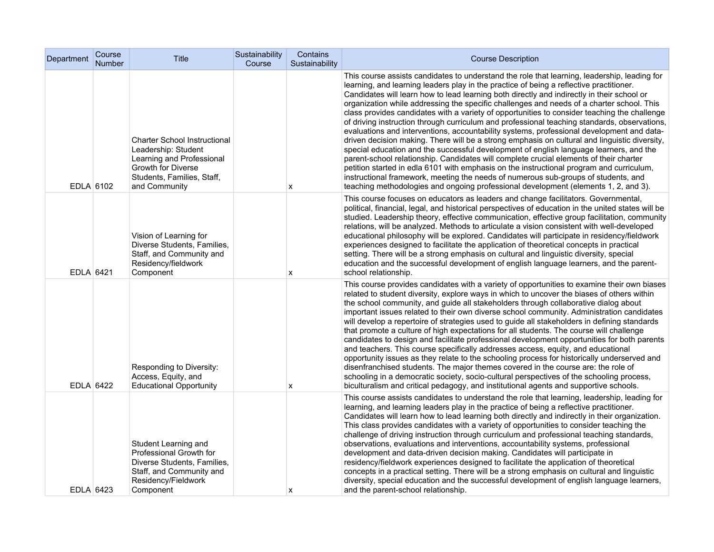| Department | Course<br><b>Number</b> | Title                                                                                                                                                        | Sustainability<br>Course | Contains<br>Sustainability | <b>Course Description</b>                                                                                                                                                                                                                                                                                                                                                                                                                                                                                                                                                                                                                                                                                                                                                                                                                                                                                                                                                                                                                                                                                                                                                                                                                     |
|------------|-------------------------|--------------------------------------------------------------------------------------------------------------------------------------------------------------|--------------------------|----------------------------|-----------------------------------------------------------------------------------------------------------------------------------------------------------------------------------------------------------------------------------------------------------------------------------------------------------------------------------------------------------------------------------------------------------------------------------------------------------------------------------------------------------------------------------------------------------------------------------------------------------------------------------------------------------------------------------------------------------------------------------------------------------------------------------------------------------------------------------------------------------------------------------------------------------------------------------------------------------------------------------------------------------------------------------------------------------------------------------------------------------------------------------------------------------------------------------------------------------------------------------------------|
| EDLA 6102  |                         | <b>Charter School Instructional</b><br>Leadership: Student<br>Learning and Professional<br>Growth for Diverse<br>Students, Families, Staff,<br>and Community |                          | x                          | This course assists candidates to understand the role that learning, leadership, leading for<br>learning, and learning leaders play in the practice of being a reflective practitioner.<br>Candidates will learn how to lead learning both directly and indirectly in their school or<br>organization while addressing the specific challenges and needs of a charter school. This<br>class provides candidates with a variety of opportunities to consider teaching the challenge<br>of driving instruction through curriculum and professional teaching standards, observations,<br>evaluations and interventions, accountability systems, professional development and data-<br>driven decision making. There will be a strong emphasis on cultural and linguistic diversity,<br>special education and the successful development of english language learners, and the<br>parent-school relationship. Candidates will complete crucial elements of their charter<br>petition started in edla 6101 with emphasis on the instructional program and curriculum,<br>instructional framework, meeting the needs of numerous sub-groups of students, and<br>teaching methodologies and ongoing professional development (elements 1, 2, and 3). |
| EDLA 6421  |                         | Vision of Learning for<br>Diverse Students, Families,<br>Staff, and Community and<br>Residency/fieldwork<br>Component                                        |                          | х                          | This course focuses on educators as leaders and change facilitators. Governmental,<br>political, financial, legal, and historical perspectives of education in the united states will be<br>studied. Leadership theory, effective communication, effective group facilitation, community<br>relations, will be analyzed. Methods to articulate a vision consistent with well-developed<br>educational philosophy will be explored. Candidates will participate in residency/fieldwork<br>experiences designed to facilitate the application of theoretical concepts in practical<br>setting. There will be a strong emphasis on cultural and linguistic diversity, special<br>education and the successful development of english language learners, and the parent-<br>school relationship.                                                                                                                                                                                                                                                                                                                                                                                                                                                  |
| EDLA 6422  |                         | Responding to Diversity:<br>Access, Equity, and<br><b>Educational Opportunity</b>                                                                            |                          | х                          | This course provides candidates with a variety of opportunities to examine their own biases<br>related to student diversity, explore ways in which to uncover the biases of others within<br>the school community, and guide all stakeholders through collaborative dialog about<br>important issues related to their own diverse school community. Administration candidates<br>will develop a repertoire of strategies used to guide all stakeholders in defining standards<br>that promote a culture of high expectations for all students. The course will challenge<br>candidates to design and facilitate professional development opportunities for both parents<br>and teachers. This course specifically addresses access, equity, and educational<br>opportunity issues as they relate to the schooling process for historically underserved and<br>disenfranchised students. The major themes covered in the course are: the role of<br>schooling in a democratic society, socio-cultural perspectives of the schooling process,<br>biculturalism and critical pedagogy, and institutional agents and supportive schools.                                                                                                          |
| EDLA 6423  |                         | Student Learning and<br>Professional Growth for<br>Diverse Students, Families,<br>Staff, and Community and<br>Residency/Fieldwork<br>Component               |                          | X                          | This course assists candidates to understand the role that learning, leadership, leading for<br>learning, and learning leaders play in the practice of being a reflective practitioner.<br>Candidates will learn how to lead learning both directly and indirectly in their organization.<br>This class provides candidates with a variety of opportunities to consider teaching the<br>challenge of driving instruction through curriculum and professional teaching standards,<br>observations, evaluations and interventions, accountability systems, professional<br>development and data-driven decision making. Candidates will participate in<br>residency/fieldwork experiences designed to facilitate the application of theoretical<br>concepts in a practical setting. There will be a strong emphasis on cultural and linguistic<br>diversity, special education and the successful development of english language learners,<br>and the parent-school relationship.                                                                                                                                                                                                                                                              |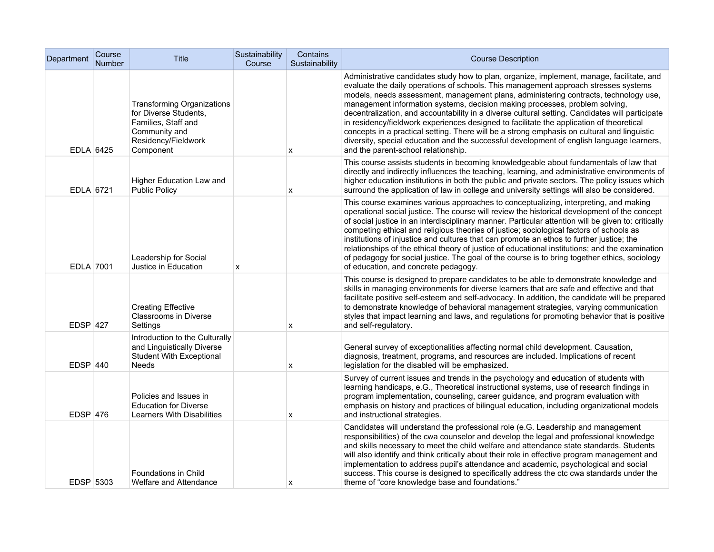| Department | Course<br>Number | Title                                                                                                                                  | Sustainability<br>Course | Contains<br>Sustainability | <b>Course Description</b>                                                                                                                                                                                                                                                                                                                                                                                                                                                                                                                                                                                                                                                                                                                                                                 |
|------------|------------------|----------------------------------------------------------------------------------------------------------------------------------------|--------------------------|----------------------------|-------------------------------------------------------------------------------------------------------------------------------------------------------------------------------------------------------------------------------------------------------------------------------------------------------------------------------------------------------------------------------------------------------------------------------------------------------------------------------------------------------------------------------------------------------------------------------------------------------------------------------------------------------------------------------------------------------------------------------------------------------------------------------------------|
| EDLA 6425  |                  | <b>Transforming Organizations</b><br>for Diverse Students,<br>Families, Staff and<br>Community and<br>Residency/Fieldwork<br>Component |                          | x                          | Administrative candidates study how to plan, organize, implement, manage, facilitate, and<br>evaluate the daily operations of schools. This management approach stresses systems<br>models, needs assessment, management plans, administering contracts, technology use,<br>management information systems, decision making processes, problem solving,<br>decentralization, and accountability in a diverse cultural setting. Candidates will participate<br>in residency/fieldwork experiences designed to facilitate the application of theoretical<br>concepts in a practical setting. There will be a strong emphasis on cultural and linguistic<br>diversity, special education and the successful development of english language learners,<br>and the parent-school relationship. |
| EDLA 6721  |                  | Higher Education Law and<br><b>Public Policy</b>                                                                                       |                          | x                          | This course assists students in becoming knowledgeable about fundamentals of law that<br>directly and indirectly influences the teaching, learning, and administrative environments of<br>higher education institutions in both the public and private sectors. The policy issues which<br>surround the application of law in college and university settings will also be considered.                                                                                                                                                                                                                                                                                                                                                                                                    |
| EDLA 7001  |                  | Leadership for Social<br>Justice in Education                                                                                          | X                        |                            | This course examines various approaches to conceptualizing, interpreting, and making<br>operational social justice. The course will review the historical development of the concept<br>of social justice in an interdisciplinary manner. Particular attention will be given to: critically<br>competing ethical and religious theories of justice; sociological factors of schools as<br>institutions of injustice and cultures that can promote an ethos to further justice; the<br>relationships of the ethical theory of justice of educational institutions; and the examination<br>of pedagogy for social justice. The goal of the course is to bring together ethics, sociology<br>of education, and concrete pedagogy.                                                            |
| $EDSP$ 427 |                  | <b>Creating Effective</b><br><b>Classrooms in Diverse</b><br>Settings                                                                  |                          | x                          | This course is designed to prepare candidates to be able to demonstrate knowledge and<br>skills in managing environments for diverse learners that are safe and effective and that<br>facilitate positive self-esteem and self-advocacy. In addition, the candidate will be prepared<br>to demonstrate knowledge of behavioral management strategies, varying communication<br>styles that impact learning and laws, and regulations for promoting behavior that is positive<br>and self-regulatory.                                                                                                                                                                                                                                                                                      |
| $EDSP$ 440 |                  | Introduction to the Culturally<br>and Linguistically Diverse<br><b>Student With Exceptional</b><br>Needs                               |                          | x                          | General survey of exceptionalities affecting normal child development. Causation,<br>diagnosis, treatment, programs, and resources are included. Implications of recent<br>legislation for the disabled will be emphasized.                                                                                                                                                                                                                                                                                                                                                                                                                                                                                                                                                               |
| $EDSP$ 476 |                  | Policies and Issues in<br><b>Education for Diverse</b><br>Learners With Disabilities                                                   |                          | x                          | Survey of current issues and trends in the psychology and education of students with<br>learning handicaps, e.G., Theoretical instructional systems, use of research findings in<br>program implementation, counseling, career guidance, and program evaluation with<br>emphasis on history and practices of bilingual education, including organizational models<br>and instructional strategies.                                                                                                                                                                                                                                                                                                                                                                                        |
| EDSP 5303  |                  | <b>Foundations in Child</b><br>Welfare and Attendance                                                                                  |                          | x                          | Candidates will understand the professional role (e.G. Leadership and management<br>responsibilities) of the cwa counselor and develop the legal and professional knowledge<br>and skills necessary to meet the child welfare and attendance state standards. Students<br>will also identify and think critically about their role in effective program management and<br>implementation to address pupil's attendance and academic, psychological and social<br>success. This course is designed to specifically address the ctc cwa standards under the<br>theme of "core knowledge base and foundations."                                                                                                                                                                              |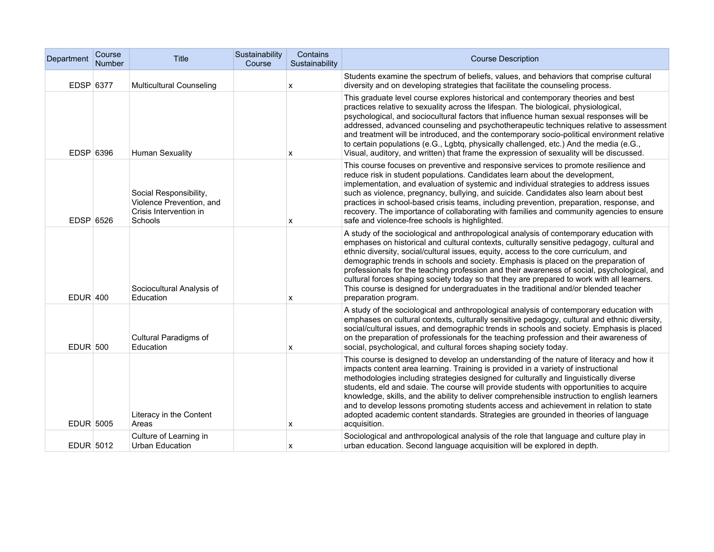| Department      | Course<br><b>Number</b> | Title                                                                                   | Sustainability<br>Course | Contains<br>Sustainability | <b>Course Description</b>                                                                                                                                                                                                                                                                                                                                                                                                                                                                                                                                                                                                                                                        |
|-----------------|-------------------------|-----------------------------------------------------------------------------------------|--------------------------|----------------------------|----------------------------------------------------------------------------------------------------------------------------------------------------------------------------------------------------------------------------------------------------------------------------------------------------------------------------------------------------------------------------------------------------------------------------------------------------------------------------------------------------------------------------------------------------------------------------------------------------------------------------------------------------------------------------------|
| EDSP 6377       |                         | <b>Multicultural Counseling</b>                                                         |                          | X                          | Students examine the spectrum of beliefs, values, and behaviors that comprise cultural<br>diversity and on developing strategies that facilitate the counseling process.                                                                                                                                                                                                                                                                                                                                                                                                                                                                                                         |
| EDSP 6396       |                         | Human Sexuality                                                                         |                          | x                          | This graduate level course explores historical and contemporary theories and best<br>practices relative to sexuality across the lifespan. The biological, physiological,<br>psychological, and sociocultural factors that influence human sexual responses will be<br>addressed, advanced counseling and psychotherapeutic techniques relative to assessment<br>and treatment will be introduced, and the contemporary socio-political environment relative<br>to certain populations (e.G., Lgbtq, physically challenged, etc.) And the media (e.G.,<br>Visual, auditory, and written) that frame the expression of sexuality will be discussed.                                |
| EDSP 6526       |                         | Social Responsibility,<br>Violence Prevention, and<br>Crisis Intervention in<br>Schools |                          | x                          | This course focuses on preventive and responsive services to promote resilience and<br>reduce risk in student populations. Candidates learn about the development,<br>implementation, and evaluation of systemic and individual strategies to address issues<br>such as violence, pregnancy, bullying, and suicide. Candidates also learn about best<br>practices in school-based crisis teams, including prevention, preparation, response, and<br>recovery. The importance of collaborating with families and community agencies to ensure<br>safe and violence-free schools is highlighted.                                                                                   |
| <b>EDUR 400</b> |                         | Sociocultural Analysis of<br>Education                                                  |                          | x                          | A study of the sociological and anthropological analysis of contemporary education with<br>emphases on historical and cultural contexts, culturally sensitive pedagogy, cultural and<br>ethnic diversity, social/cultural issues, equity, access to the core curriculum, and<br>demographic trends in schools and society. Emphasis is placed on the preparation of<br>professionals for the teaching profession and their awareness of social, psychological, and<br>cultural forces shaping society today so that they are prepared to work with all learners.<br>This course is designed for undergraduates in the traditional and/or blended teacher<br>preparation program. |
| <b>EDUR 500</b> |                         | Cultural Paradigms of<br>Education                                                      |                          | x                          | A study of the sociological and anthropological analysis of contemporary education with<br>emphases on cultural contexts, culturally sensitive pedagogy, cultural and ethnic diversity,<br>social/cultural issues, and demographic trends in schools and society. Emphasis is placed<br>on the preparation of professionals for the teaching profession and their awareness of<br>social, psychological, and cultural forces shaping society today.                                                                                                                                                                                                                              |
| EDUR 5005       |                         | Literacy in the Content<br>Areas                                                        |                          | x                          | This course is designed to develop an understanding of the nature of literacy and how it<br>impacts content area learning. Training is provided in a variety of instructional<br>methodologies including strategies designed for culturally and linguistically diverse<br>students, eld and sdaie. The course will provide students with opportunities to acquire<br>knowledge, skills, and the ability to deliver comprehensible instruction to english learners<br>and to develop lessons promoting students access and achievement in relation to state<br>adopted academic content standards. Strategies are grounded in theories of language<br>acquisition.                |
| EDUR 5012       |                         | Culture of Learning in<br>Urban Education                                               |                          | x                          | Sociological and anthropological analysis of the role that language and culture play in<br>urban education. Second language acquisition will be explored in depth.                                                                                                                                                                                                                                                                                                                                                                                                                                                                                                               |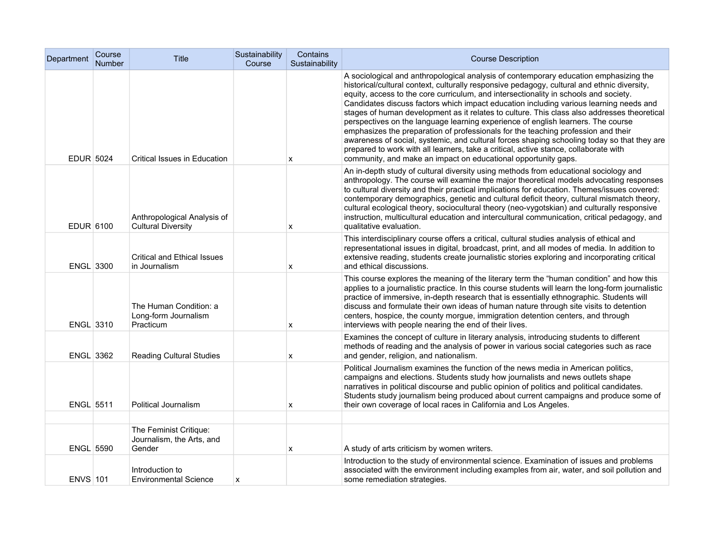| Department       | Course<br><b>Number</b> | Title                                                         | Sustainability<br>Course | Contains<br>Sustainability | <b>Course Description</b>                                                                                                                                                                                                                                                                                                                                                                                                                                                                                                                                                                                                                                                                                                                                                                                                                                                                               |
|------------------|-------------------------|---------------------------------------------------------------|--------------------------|----------------------------|---------------------------------------------------------------------------------------------------------------------------------------------------------------------------------------------------------------------------------------------------------------------------------------------------------------------------------------------------------------------------------------------------------------------------------------------------------------------------------------------------------------------------------------------------------------------------------------------------------------------------------------------------------------------------------------------------------------------------------------------------------------------------------------------------------------------------------------------------------------------------------------------------------|
| <b>EDUR 5024</b> |                         | Critical Issues in Education                                  |                          | X                          | A sociological and anthropological analysis of contemporary education emphasizing the<br>historical/cultural context, culturally responsive pedagogy, cultural and ethnic diversity,<br>equity, access to the core curriculum, and intersectionality in schools and society.<br>Candidates discuss factors which impact education including various learning needs and<br>stages of human development as it relates to culture. This class also addresses theoretical<br>perspectives on the language learning experience of english learners. The course<br>emphasizes the preparation of professionals for the teaching profession and their<br>awareness of social, systemic, and cultural forces shaping schooling today so that they are<br>prepared to work with all learners, take a critical, active stance, collaborate with<br>community, and make an impact on educational opportunity gaps. |
| EDUR 6100        |                         | Anthropological Analysis of<br><b>Cultural Diversity</b>      |                          | x                          | An in-depth study of cultural diversity using methods from educational sociology and<br>anthropology. The course will examine the major theoretical models advocating responses<br>to cultural diversity and their practical implications for education. Themes/issues covered:<br>contemporary demographics, genetic and cultural deficit theory, cultural mismatch theory,<br>cultural ecological theory, sociocultural theory (neo-vygotskian) and culturally responsive<br>instruction, multicultural education and intercultural communication, critical pedagogy, and<br>qualitative evaluation.                                                                                                                                                                                                                                                                                                  |
| ENGL 3300        |                         | <b>Critical and Ethical Issues</b><br>in Journalism           |                          | x                          | This interdisciplinary course offers a critical, cultural studies analysis of ethical and<br>representational issues in digital, broadcast, print, and all modes of media. In addition to<br>extensive reading, students create journalistic stories exploring and incorporating critical<br>and ethical discussions.                                                                                                                                                                                                                                                                                                                                                                                                                                                                                                                                                                                   |
| ENGL 3310        |                         | The Human Condition: a<br>Long-form Journalism<br>Practicum   |                          | x                          | This course explores the meaning of the literary term the "human condition" and how this<br>applies to a journalistic practice. In this course students will learn the long-form journalistic<br>practice of immersive, in-depth research that is essentially ethnographic. Students will<br>discuss and formulate their own ideas of human nature through site visits to detention<br>centers, hospice, the county morgue, immigration detention centers, and through<br>interviews with people nearing the end of their lives.                                                                                                                                                                                                                                                                                                                                                                        |
| <b>ENGL 3362</b> |                         | <b>Reading Cultural Studies</b>                               |                          | X                          | Examines the concept of culture in literary analysis, introducing students to different<br>methods of reading and the analysis of power in various social categories such as race<br>and gender, religion, and nationalism.                                                                                                                                                                                                                                                                                                                                                                                                                                                                                                                                                                                                                                                                             |
| <b>ENGL 5511</b> |                         | Political Journalism                                          |                          | X                          | Political Journalism examines the function of the news media in American politics,<br>campaigns and elections. Students study how journalists and news outlets shape<br>narratives in political discourse and public opinion of politics and political candidates.<br>Students study journalism being produced about current campaigns and produce some of<br>their own coverage of local races in California and Los Angeles.                                                                                                                                                                                                                                                                                                                                                                                                                                                                          |
|                  |                         |                                                               |                          |                            |                                                                                                                                                                                                                                                                                                                                                                                                                                                                                                                                                                                                                                                                                                                                                                                                                                                                                                         |
| <b>ENGL 5590</b> |                         | The Feminist Critique:<br>Journalism, the Arts, and<br>Gender |                          | x                          | A study of arts criticism by women writers.                                                                                                                                                                                                                                                                                                                                                                                                                                                                                                                                                                                                                                                                                                                                                                                                                                                             |
| <b>ENVS 101</b>  |                         | Introduction to<br><b>Environmental Science</b>               | x                        |                            | Introduction to the study of environmental science. Examination of issues and problems<br>associated with the environment including examples from air, water, and soil pollution and<br>some remediation strategies.                                                                                                                                                                                                                                                                                                                                                                                                                                                                                                                                                                                                                                                                                    |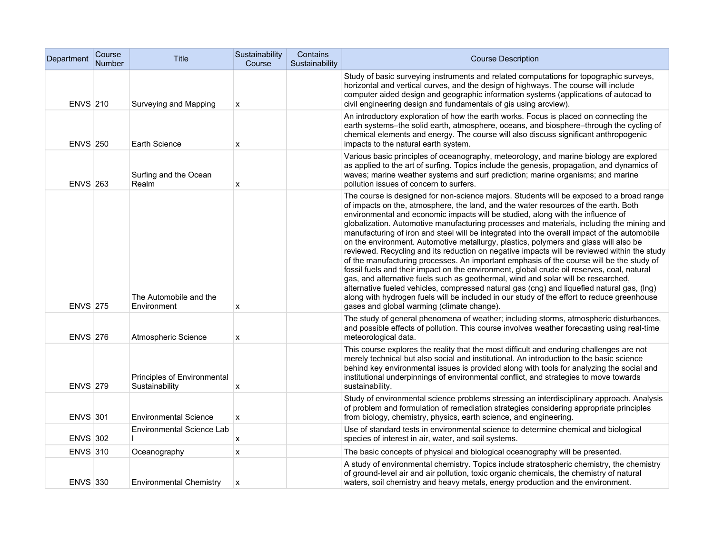| Department      | Course<br><b>Number</b> | <b>Title</b>                                  | Sustainability<br>Course | Contains<br>Sustainability | <b>Course Description</b>                                                                                                                                                                                                                                                                                                                                                                                                                                                                                                                                                                                                                                                                                                                                                                                                                                                                                                                                                                                                                                                                                                                                                       |
|-----------------|-------------------------|-----------------------------------------------|--------------------------|----------------------------|---------------------------------------------------------------------------------------------------------------------------------------------------------------------------------------------------------------------------------------------------------------------------------------------------------------------------------------------------------------------------------------------------------------------------------------------------------------------------------------------------------------------------------------------------------------------------------------------------------------------------------------------------------------------------------------------------------------------------------------------------------------------------------------------------------------------------------------------------------------------------------------------------------------------------------------------------------------------------------------------------------------------------------------------------------------------------------------------------------------------------------------------------------------------------------|
| <b>ENVS 210</b> |                         | Surveying and Mapping                         | X                        |                            | Study of basic surveying instruments and related computations for topographic surveys,<br>horizontal and vertical curves, and the design of highways. The course will include<br>computer aided design and geographic information systems (applications of autocad to<br>civil engineering design and fundamentals of gis using arcview).                                                                                                                                                                                                                                                                                                                                                                                                                                                                                                                                                                                                                                                                                                                                                                                                                                       |
| <b>ENVS 250</b> |                         | Earth Science                                 | x                        |                            | An introductory exploration of how the earth works. Focus is placed on connecting the<br>earth systems-the solid earth, atmosphere, oceans, and biosphere-through the cycling of<br>chemical elements and energy. The course will also discuss significant anthropogenic<br>impacts to the natural earth system.                                                                                                                                                                                                                                                                                                                                                                                                                                                                                                                                                                                                                                                                                                                                                                                                                                                                |
| <b>ENVS 263</b> |                         | Surfing and the Ocean<br>Realm                | X                        |                            | Various basic principles of oceanography, meteorology, and marine biology are explored<br>as applied to the art of surfing. Topics include the genesis, propagation, and dynamics of<br>waves; marine weather systems and surf prediction; marine organisms; and marine<br>pollution issues of concern to surfers.                                                                                                                                                                                                                                                                                                                                                                                                                                                                                                                                                                                                                                                                                                                                                                                                                                                              |
| <b>ENVS 275</b> |                         | The Automobile and the<br>Environment         | X                        |                            | The course is designed for non-science majors. Students will be exposed to a broad range<br>of impacts on the, atmosphere, the land, and the water resources of the earth. Both<br>environmental and economic impacts will be studied, along with the influence of<br>globalization. Automotive manufacturing processes and materials, including the mining and<br>manufacturing of iron and steel will be integrated into the overall impact of the automobile<br>on the environment. Automotive metallurgy, plastics, polymers and glass will also be<br>reviewed. Recycling and its reduction on negative impacts will be reviewed within the study<br>of the manufacturing processes. An important emphasis of the course will be the study of<br>fossil fuels and their impact on the environment, global crude oil reserves, coal, natural<br>gas, and alternative fuels such as geothermal, wind and solar will be researched,<br>alternative fueled vehicles, compressed natural gas (cng) and liquefied natural gas, (lng)<br>along with hydrogen fuels will be included in our study of the effort to reduce greenhouse<br>gases and global warming (climate change). |
| <b>ENVS 276</b> |                         | Atmospheric Science                           | X                        |                            | The study of general phenomena of weather; including storms, atmospheric disturbances,<br>and possible effects of pollution. This course involves weather forecasting using real-time<br>meteorological data.                                                                                                                                                                                                                                                                                                                                                                                                                                                                                                                                                                                                                                                                                                                                                                                                                                                                                                                                                                   |
| <b>ENVS 279</b> |                         | Principles of Environmental<br>Sustainability | х                        |                            | This course explores the reality that the most difficult and enduring challenges are not<br>merely technical but also social and institutional. An introduction to the basic science<br>behind key environmental issues is provided along with tools for analyzing the social and<br>institutional underpinnings of environmental conflict, and strategies to move towards<br>sustainability.                                                                                                                                                                                                                                                                                                                                                                                                                                                                                                                                                                                                                                                                                                                                                                                   |
| <b>ENVS 301</b> |                         | <b>Environmental Science</b>                  | X                        |                            | Study of environmental science problems stressing an interdisciplinary approach. Analysis<br>of problem and formulation of remediation strategies considering appropriate principles<br>from biology, chemistry, physics, earth science, and engineering.                                                                                                                                                                                                                                                                                                                                                                                                                                                                                                                                                                                                                                                                                                                                                                                                                                                                                                                       |
| <b>ENVS 302</b> |                         | <b>Environmental Science Lab</b>              | х                        |                            | Use of standard tests in environmental science to determine chemical and biological<br>species of interest in air, water, and soil systems.                                                                                                                                                                                                                                                                                                                                                                                                                                                                                                                                                                                                                                                                                                                                                                                                                                                                                                                                                                                                                                     |
| <b>ENVS 310</b> |                         | Oceanography                                  | $\pmb{\mathsf{x}}$       |                            | The basic concepts of physical and biological oceanography will be presented.                                                                                                                                                                                                                                                                                                                                                                                                                                                                                                                                                                                                                                                                                                                                                                                                                                                                                                                                                                                                                                                                                                   |
| <b>ENVS 330</b> |                         | <b>Environmental Chemistry</b>                | X                        |                            | A study of environmental chemistry. Topics include stratospheric chemistry, the chemistry<br>of ground-level air and air pollution, toxic organic chemicals, the chemistry of natural<br>waters, soil chemistry and heavy metals, energy production and the environment.                                                                                                                                                                                                                                                                                                                                                                                                                                                                                                                                                                                                                                                                                                                                                                                                                                                                                                        |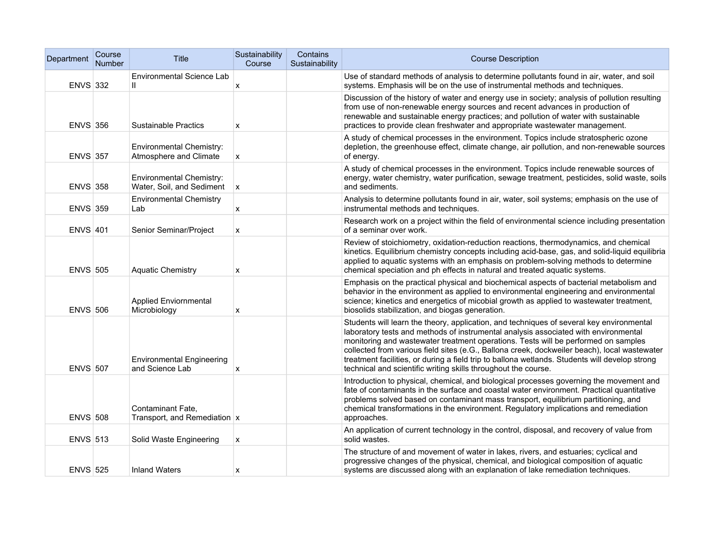| Department      | Course<br><b>Number</b> | <b>Title</b>                                          | Sustainability<br>Course | Contains<br>Sustainability | <b>Course Description</b>                                                                                                                                                                                                                                                                                                                                                                                                                                                                                                                 |
|-----------------|-------------------------|-------------------------------------------------------|--------------------------|----------------------------|-------------------------------------------------------------------------------------------------------------------------------------------------------------------------------------------------------------------------------------------------------------------------------------------------------------------------------------------------------------------------------------------------------------------------------------------------------------------------------------------------------------------------------------------|
| <b>ENVS 332</b> |                         | <b>Environmental Science Lab</b><br>Ш                 | X                        |                            | Use of standard methods of analysis to determine pollutants found in air, water, and soil<br>systems. Emphasis will be on the use of instrumental methods and techniques.                                                                                                                                                                                                                                                                                                                                                                 |
| <b>ENVS 356</b> |                         | <b>Sustainable Practics</b>                           | X                        |                            | Discussion of the history of water and energy use in society; analysis of pollution resulting<br>from use of non-renewable energy sources and recent advances in production of<br>renewable and sustainable energy practices; and pollution of water with sustainable<br>practices to provide clean freshwater and appropriate wastewater management.                                                                                                                                                                                     |
| <b>ENVS 357</b> |                         | Environmental Chemistry:<br>Atmosphere and Climate    | X                        |                            | A study of chemical processes in the environment. Topics include stratospheric ozone<br>depletion, the greenhouse effect, climate change, air pollution, and non-renewable sources<br>of energy.                                                                                                                                                                                                                                                                                                                                          |
| <b>ENVS 358</b> |                         | Environmental Chemistry:<br>Water, Soil, and Sediment | X                        |                            | A study of chemical processes in the environment. Topics include renewable sources of<br>energy, water chemistry, water purification, sewage treatment, pesticides, solid waste, soils<br>and sediments.                                                                                                                                                                                                                                                                                                                                  |
| <b>ENVS 359</b> |                         | <b>Environmental Chemistry</b><br>Lab                 | X                        |                            | Analysis to determine pollutants found in air, water, soil systems; emphasis on the use of<br>instrumental methods and techniques.                                                                                                                                                                                                                                                                                                                                                                                                        |
| <b>ENVS 401</b> |                         | Senior Seminar/Project                                | X                        |                            | Research work on a project within the field of environmental science including presentation<br>of a seminar over work.                                                                                                                                                                                                                                                                                                                                                                                                                    |
| <b>ENVS 505</b> |                         | <b>Aquatic Chemistry</b>                              | X                        |                            | Review of stoichiometry, oxidation-reduction reactions, thermodynamics, and chemical<br>kinetics. Equilibrium chemistry concepts including acid-base, gas, and solid-liquid equilibria<br>applied to aquatic systems with an emphasis on problem-solving methods to determine<br>chemical speciation and ph effects in natural and treated aquatic systems.                                                                                                                                                                               |
| <b>ENVS 506</b> |                         | <b>Applied Enviornmental</b><br>Microbiology          | X                        |                            | Emphasis on the practical physical and biochemical aspects of bacterial metabolism and<br>behavior in the environment as applied to environmental engineering and environmental<br>science; kinetics and energetics of micobial growth as applied to wastewater treatment,<br>biosolids stabilization, and biogas generation.                                                                                                                                                                                                             |
| <b>ENVS 507</b> |                         | <b>Environmental Engineering</b><br>and Science Lab   | х                        |                            | Students will learn the theory, application, and techniques of several key environmental<br>laboratory tests and methods of instrumental analysis associated with environmental<br>monitoring and wastewater treatment operations. Tests will be performed on samples<br>collected from various field sites (e.G., Ballona creek, dockweiler beach), local wastewater<br>treatment facilities, or during a field trip to ballona wetlands. Students will develop strong<br>technical and scientific writing skills throughout the course. |
| <b>ENVS 508</b> |                         | Contaminant Fate,<br>Transport, and Remediation x     |                          |                            | Introduction to physical, chemical, and biological processes governing the movement and<br>fate of contaminants in the surface and coastal water environment. Practical quantitative<br>problems solved based on contaminant mass transport, equilibrium partitioning, and<br>chemical transformations in the environment. Regulatory implications and remediation<br>approaches.                                                                                                                                                         |
| <b>ENVS 513</b> |                         | Solid Waste Engineering                               | X                        |                            | An application of current technology in the control, disposal, and recovery of value from<br>solid wastes.                                                                                                                                                                                                                                                                                                                                                                                                                                |
| <b>ENVS 525</b> |                         | <b>Inland Waters</b>                                  | x                        |                            | The structure of and movement of water in lakes, rivers, and estuaries; cyclical and<br>progressive changes of the physical, chemical, and biological composition of aquatic<br>systems are discussed along with an explanation of lake remediation techniques.                                                                                                                                                                                                                                                                           |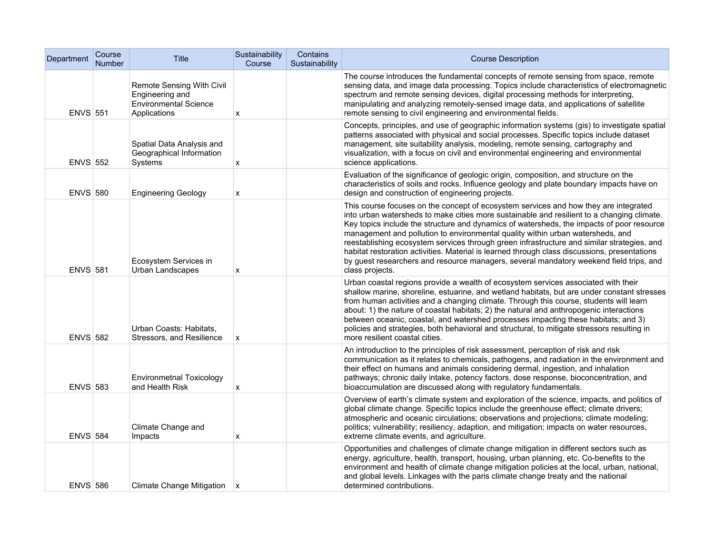| Department      | Course<br>Number | <b>Title</b>                                                                                 | Sustainability<br>Course | Contains<br>Sustainability | <b>Course Description</b>                                                                                                                                                                                                                                                                                                                                                                                                                                                                                                                                                                                                                                                    |
|-----------------|------------------|----------------------------------------------------------------------------------------------|--------------------------|----------------------------|------------------------------------------------------------------------------------------------------------------------------------------------------------------------------------------------------------------------------------------------------------------------------------------------------------------------------------------------------------------------------------------------------------------------------------------------------------------------------------------------------------------------------------------------------------------------------------------------------------------------------------------------------------------------------|
| <b>ENVS 551</b> |                  | Remote Sensing With Civil<br>Engineering and<br><b>Environmental Science</b><br>Applications | x                        |                            | The course introduces the fundamental concepts of remote sensing from space, remote<br>sensing data, and image data processing. Topics include characteristics of electromagnetic<br>spectrum and remote sensing devices, digital processing methods for interpreting,<br>manipulating and analyzing remotely-sensed image data, and applications of satellite<br>remote sensing to civil engineering and environmental fields.                                                                                                                                                                                                                                              |
| <b>ENVS 552</b> |                  | Spatial Data Analysis and<br>Geographical Information<br>Systems                             | x                        |                            | Concepts, principles, and use of geographic information systems (gis) to investigate spatial<br>patterns associated with physical and social processes. Specific topics include dataset<br>management, site suitability analysis, modeling, remote sensing, cartography and<br>visualization, with a focus on civil and environmental engineering and environmental<br>science applications.                                                                                                                                                                                                                                                                                 |
| <b>ENVS 580</b> |                  | <b>Engineering Geology</b>                                                                   | x                        |                            | Evaluation of the significance of geologic origin, composition, and structure on the<br>characteristics of soils and rocks. Influence geology and plate boundary impacts have on<br>design and construction of engineering projects.                                                                                                                                                                                                                                                                                                                                                                                                                                         |
| <b>ENVS 581</b> |                  | Ecosystem Services in<br>Urban Landscapes                                                    | x                        |                            | This course focuses on the concept of ecosystem services and how they are integrated<br>into urban watersheds to make cities more sustainable and resilient to a changing climate.<br>Key topics include the structure and dynamics of watersheds, the impacts of poor resource<br>management and pollution to environmental quality within urban watersheds, and<br>reestablishing ecosystem services through green infrastructure and similar strategies, and<br>habitat restoration activities. Material is learned through class discussions, presentations<br>by guest researchers and resource managers, several mandatory weekend field trips, and<br>class projects. |
| <b>ENVS 582</b> |                  | Urban Coasts: Habitats.<br>Stressors, and Resilience                                         | $\mathsf{x}$             |                            | Urban coastal regions provide a wealth of ecosystem services associated with their<br>shallow marine, shoreline, estuarine, and wetland habitats, but are under constant stresses<br>from human activities and a changing climate. Through this course, students will learn<br>about: 1) the nature of coastal habitats; 2) the natural and anthropogenic interactions<br>between oceanic, coastal, and watershed processes impacting these habitats; and 3)<br>policies and strategies, both behavioral and structural, to mitigate stressors resulting in<br>more resilient coastal cities.                                                                                |
| <b>ENVS 583</b> |                  | <b>Environmetnal Toxicology</b><br>and Health Risk                                           | х                        |                            | An introduction to the principles of risk assessment, perception of risk and risk<br>communication as it relates to chemicals, pathogens, and radiation in the environment and<br>their effect on humans and animals considering dermal, ingestion, and inhalation<br>pathways; chronic daily intake, potency factors, dose response, bioconcentration, and<br>bioaccumulation are discussed along with regulatory fundamentals.                                                                                                                                                                                                                                             |
| <b>ENVS 584</b> |                  | Climate Change and<br>Impacts                                                                | X                        |                            | Overview of earth's climate system and exploration of the science, impacts, and politics of<br>global climate change. Specific topics include the greenhouse effect; climate drivers;<br>atmospheric and oceanic circulations; observations and projections; climate modeling;<br>politics; vulnerability; resiliency, adaption, and mitigation; impacts on water resources,<br>extreme climate events, and agriculture.                                                                                                                                                                                                                                                     |
| <b>ENVS 586</b> |                  | Climate Change Mitigation $\vert x \vert$                                                    |                          |                            | Opportunities and challenges of climate change mitigation in different sectors such as<br>energy, agriculture, health, transport, housing, urban planning, etc. Co-benefits to the<br>environment and health of climate change mitigation policies at the local, urban, national,<br>and global levels. Linkages with the paris climate change treaty and the national<br>determined contributions.                                                                                                                                                                                                                                                                          |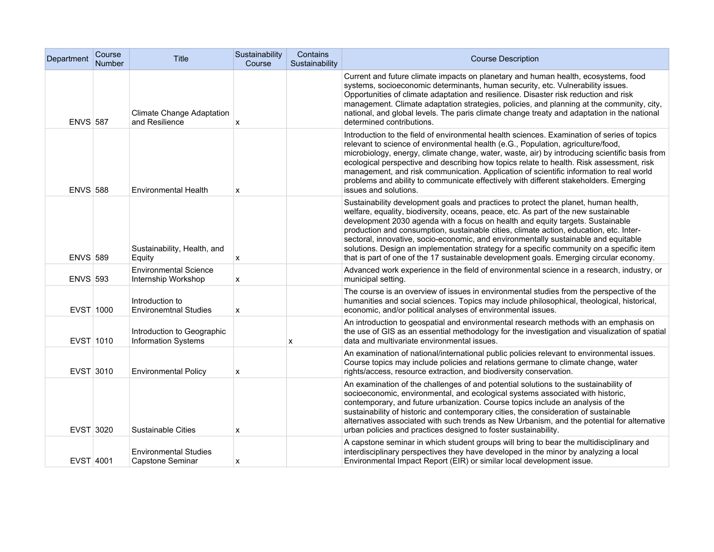| Department      | Course<br><b>Number</b> | <b>Title</b>                                             | Sustainability<br>Course | Contains<br>Sustainability | <b>Course Description</b>                                                                                                                                                                                                                                                                                                                                                                                                                                                                                                                                                                                                            |
|-----------------|-------------------------|----------------------------------------------------------|--------------------------|----------------------------|--------------------------------------------------------------------------------------------------------------------------------------------------------------------------------------------------------------------------------------------------------------------------------------------------------------------------------------------------------------------------------------------------------------------------------------------------------------------------------------------------------------------------------------------------------------------------------------------------------------------------------------|
| <b>ENVS 587</b> |                         | Climate Change Adaptation<br>and Resilience              | X                        |                            | Current and future climate impacts on planetary and human health, ecosystems, food<br>systems, socioeconomic determinants, human security, etc. Vulnerability issues.<br>Opportunities of climate adaptation and resilience. Disaster risk reduction and risk<br>management. Climate adaptation strategies, policies, and planning at the community, city,<br>national, and global levels. The paris climate change treaty and adaptation in the national<br>determined contributions.                                                                                                                                               |
| <b>ENVS 588</b> |                         | <b>Environmental Health</b>                              | x                        |                            | Introduction to the field of environmental health sciences. Examination of series of topics<br>relevant to science of environmental health (e.G., Population, agriculture/food,<br>microbiology, energy, climate change, water, waste, air) by introducing scientific basis from<br>ecological perspective and describing how topics relate to health. Risk assessment, risk<br>management, and risk communication. Application of scientific information to real world<br>problems and ability to communicate effectively with different stakeholders. Emerging<br>issues and solutions.                                            |
| <b>ENVS 589</b> |                         | Sustainability, Health, and<br>Equity                    | x                        |                            | Sustainability development goals and practices to protect the planet, human health,<br>welfare, equality, biodiversity, oceans, peace, etc. As part of the new sustainable<br>development 2030 agenda with a focus on health and equity targets. Sustainable<br>production and consumption, sustainable cities, climate action, education, etc. Inter-<br>sectoral, innovative, socio-economic, and environmentally sustainable and equitable<br>solutions. Design an implementation strategy for a specific community on a specific item<br>that is part of one of the 17 sustainable development goals. Emerging circular economy. |
| <b>ENVS 593</b> |                         | <b>Environmental Science</b><br>Internship Workshop      | x                        |                            | Advanced work experience in the field of environmental science in a research, industry, or<br>municipal setting.                                                                                                                                                                                                                                                                                                                                                                                                                                                                                                                     |
| EVST 1000       |                         | Introduction to<br><b>Environemtnal Studies</b>          | x                        |                            | The course is an overview of issues in environmental studies from the perspective of the<br>humanities and social sciences. Topics may include philosophical, theological, historical,<br>economic, and/or political analyses of environmental issues.                                                                                                                                                                                                                                                                                                                                                                               |
| EVST 1010       |                         | Introduction to Geographic<br><b>Information Systems</b> |                          | х                          | An introduction to geospatial and environmental research methods with an emphasis on<br>the use of GIS as an essential methodology for the investigation and visualization of spatial<br>data and multivariate environmental issues.                                                                                                                                                                                                                                                                                                                                                                                                 |
| EVST 3010       |                         | <b>Environmental Policy</b>                              | x                        |                            | An examination of national/international public policies relevant to environmental issues.<br>Course topics may include policies and relations germane to climate change, water<br>rights/access, resource extraction, and biodiversity conservation.                                                                                                                                                                                                                                                                                                                                                                                |
| EVST 3020       |                         | <b>Sustainable Cities</b>                                | X                        |                            | An examination of the challenges of and potential solutions to the sustainability of<br>socioeconomic, environmental, and ecological systems associated with historic,<br>contemporary, and future urbanization. Course topics include an analysis of the<br>sustainability of historic and contemporary cities, the consideration of sustainable<br>alternatives associated with such trends as New Urbanism, and the potential for alternative<br>urban policies and practices designed to foster sustainability.                                                                                                                  |
| EVST 4001       |                         | <b>Environmental Studies</b><br>Capstone Seminar         | х                        |                            | A capstone seminar in which student groups will bring to bear the multidisciplinary and<br>interdisciplinary perspectives they have developed in the minor by analyzing a local<br>Environmental Impact Report (EIR) or similar local development issue.                                                                                                                                                                                                                                                                                                                                                                             |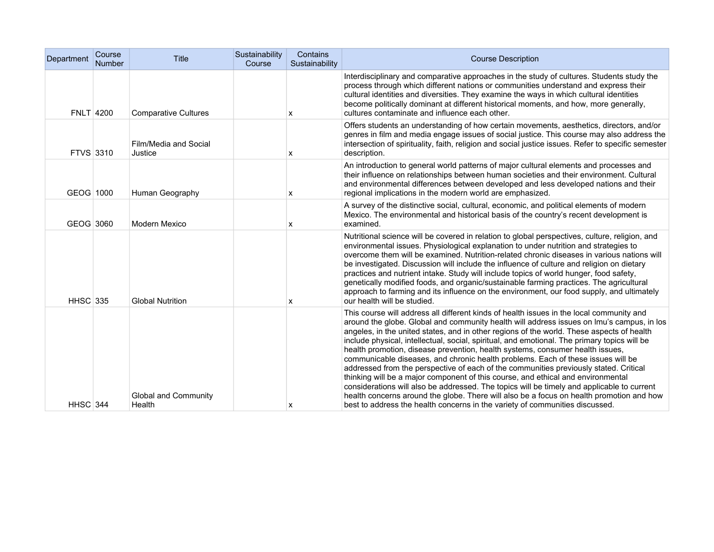| Department       | Course<br><b>Number</b> | <b>Title</b>                     | Sustainability<br>Course | Contains<br>Sustainability | <b>Course Description</b>                                                                                                                                                                                                                                                                                                                                                                                                                                                                                                                                                                                                                                                                                                                                                                                                                                                                                                                                                                                      |
|------------------|-------------------------|----------------------------------|--------------------------|----------------------------|----------------------------------------------------------------------------------------------------------------------------------------------------------------------------------------------------------------------------------------------------------------------------------------------------------------------------------------------------------------------------------------------------------------------------------------------------------------------------------------------------------------------------------------------------------------------------------------------------------------------------------------------------------------------------------------------------------------------------------------------------------------------------------------------------------------------------------------------------------------------------------------------------------------------------------------------------------------------------------------------------------------|
| <b>FNLT 4200</b> |                         | <b>Comparative Cultures</b>      |                          | х                          | Interdisciplinary and comparative approaches in the study of cultures. Students study the<br>process through which different nations or communities understand and express their<br>cultural identities and diversities. They examine the ways in which cultural identities<br>become politically dominant at different historical moments, and how, more generally,<br>cultures contaminate and influence each other.                                                                                                                                                                                                                                                                                                                                                                                                                                                                                                                                                                                         |
| FTVS 3310        |                         | Film/Media and Social<br>Justice |                          | x                          | Offers students an understanding of how certain movements, aesthetics, directors, and/or<br>genres in film and media engage issues of social justice. This course may also address the<br>intersection of spirituality, faith, religion and social justice issues. Refer to specific semester<br>description.                                                                                                                                                                                                                                                                                                                                                                                                                                                                                                                                                                                                                                                                                                  |
| GEOG 1000        |                         | Human Geography                  |                          | х                          | An introduction to general world patterns of major cultural elements and processes and<br>their influence on relationships between human societies and their environment. Cultural<br>and environmental differences between developed and less developed nations and their<br>regional implications in the modern world are emphasized.                                                                                                                                                                                                                                                                                                                                                                                                                                                                                                                                                                                                                                                                        |
| GEOG 3060        |                         | Modern Mexico                    |                          | x                          | A survey of the distinctive social, cultural, economic, and political elements of modern<br>Mexico. The environmental and historical basis of the country's recent development is<br>examined.                                                                                                                                                                                                                                                                                                                                                                                                                                                                                                                                                                                                                                                                                                                                                                                                                 |
| <b>HHSC</b> 335  |                         | <b>Global Nutrition</b>          |                          | X                          | Nutritional science will be covered in relation to global perspectives, culture, religion, and<br>environmental issues. Physiological explanation to under nutrition and strategies to<br>overcome them will be examined. Nutrition-related chronic diseases in various nations will<br>be investigated. Discussion will include the influence of culture and religion on dietary<br>practices and nutrient intake. Study will include topics of world hunger, food safety,<br>genetically modified foods, and organic/sustainable farming practices. The agricultural<br>approach to farming and its influence on the environment, our food supply, and ultimately<br>our health will be studied.                                                                                                                                                                                                                                                                                                             |
| <b>HHSC</b> 344  |                         | Global and Community<br>Health   |                          | X                          | This course will address all different kinds of health issues in the local community and<br>around the globe. Global and community health will address issues on Imu's campus, in los<br>angeles, in the united states, and in other regions of the world. These aspects of health<br>include physical, intellectual, social, spiritual, and emotional. The primary topics will be<br>health promotion, disease prevention, health systems, consumer health issues,<br>communicable diseases, and chronic health problems. Each of these issues will be<br>addressed from the perspective of each of the communities previously stated. Critical<br>thinking will be a major component of this course, and ethical and environmental<br>considerations will also be addressed. The topics will be timely and applicable to current<br>health concerns around the globe. There will also be a focus on health promotion and how<br>best to address the health concerns in the variety of communities discussed. |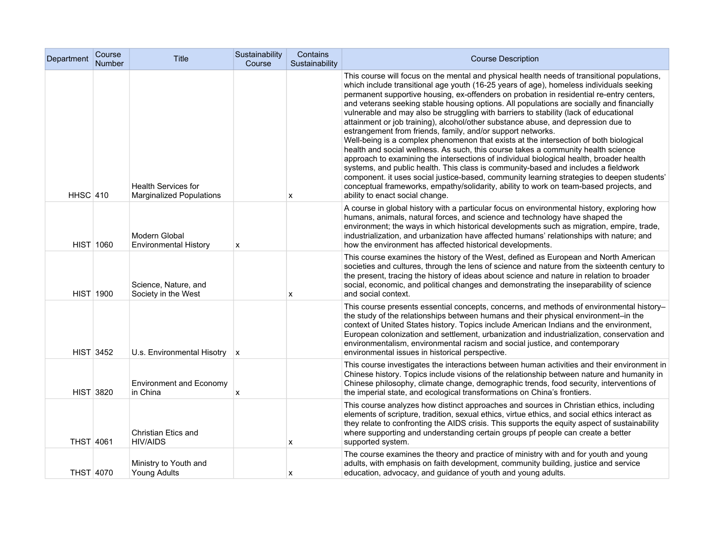| Department       | Course<br>Number | Title                                                         | Sustainability<br>Course | Contains<br>Sustainability | <b>Course Description</b>                                                                                                                                                                                                                                                                                                                                                                                                                                                                                                                                                                                                                                                                                                                                                                                                                                                                                                                                                                                                                                                                                                                                                                                              |
|------------------|------------------|---------------------------------------------------------------|--------------------------|----------------------------|------------------------------------------------------------------------------------------------------------------------------------------------------------------------------------------------------------------------------------------------------------------------------------------------------------------------------------------------------------------------------------------------------------------------------------------------------------------------------------------------------------------------------------------------------------------------------------------------------------------------------------------------------------------------------------------------------------------------------------------------------------------------------------------------------------------------------------------------------------------------------------------------------------------------------------------------------------------------------------------------------------------------------------------------------------------------------------------------------------------------------------------------------------------------------------------------------------------------|
| <b>HHSC 410</b>  |                  | <b>Health Services for</b><br><b>Marginalized Populations</b> |                          | х                          | This course will focus on the mental and physical health needs of transitional populations,<br>which include transitional age youth (16-25 years of age), homeless individuals seeking<br>permanent supportive housing, ex-offenders on probation in residential re-entry centers,<br>and veterans seeking stable housing options. All populations are socially and financially<br>vulnerable and may also be struggling with barriers to stability (lack of educational<br>attainment or job training), alcohol/other substance abuse, and depression due to<br>estrangement from friends, family, and/or support networks.<br>Well-being is a complex phenomenon that exists at the intersection of both biological<br>health and social wellness. As such, this course takes a community health science<br>approach to examining the intersections of individual biological health, broader health<br>systems, and public health. This class is community-based and includes a fieldwork<br>component. it uses social justice-based, community learning strategies to deepen students'<br>conceptual frameworks, empathy/solidarity, ability to work on team-based projects, and<br>ability to enact social change. |
|                  | <b>HIST 1060</b> | Modern Global<br><b>Environmental History</b>                 | x                        |                            | A course in global history with a particular focus on environmental history, exploring how<br>humans, animals, natural forces, and science and technology have shaped the<br>environment; the ways in which historical developments such as migration, empire, trade,<br>industrialization, and urbanization have affected humans' relationships with nature; and<br>how the environment has affected historical developments.                                                                                                                                                                                                                                                                                                                                                                                                                                                                                                                                                                                                                                                                                                                                                                                         |
|                  | <b>HIST 1900</b> | Science, Nature, and<br>Society in the West                   |                          | x                          | This course examines the history of the West, defined as European and North American<br>societies and cultures, through the lens of science and nature from the sixteenth century to<br>the present, tracing the history of ideas about science and nature in relation to broader<br>social, economic, and political changes and demonstrating the inseparability of science<br>and social context.                                                                                                                                                                                                                                                                                                                                                                                                                                                                                                                                                                                                                                                                                                                                                                                                                    |
|                  | <b>HIST 3452</b> | U.s. Environmental Hisotry $\ x\ $                            |                          |                            | This course presents essential concepts, concerns, and methods of environmental history-<br>the study of the relationships between humans and their physical environment-in the<br>context of United States history. Topics include American Indians and the environment,<br>European colonization and settlement, urbanization and industrialization, conservation and<br>environmentalism, environmental racism and social justice, and contemporary<br>environmental issues in historical perspective.                                                                                                                                                                                                                                                                                                                                                                                                                                                                                                                                                                                                                                                                                                              |
|                  | <b>HIST 3820</b> | <b>Environment and Economy</b><br>in China                    | х                        |                            | This course investigates the interactions between human activities and their environment in<br>Chinese history. Topics include visions of the relationship between nature and humanity in<br>Chinese philosophy, climate change, demographic trends, food security, interventions of<br>the imperial state, and ecological transformations on China's frontiers.                                                                                                                                                                                                                                                                                                                                                                                                                                                                                                                                                                                                                                                                                                                                                                                                                                                       |
| <b>THST 4061</b> |                  | Christian Etics and<br><b>HIV/AIDS</b>                        |                          | x                          | This course analyzes how distinct approaches and sources in Christian ethics, including<br>elements of scripture, tradition, sexual ethics, virtue ethics, and social ethics interact as<br>they relate to confronting the AIDS crisis. This supports the equity aspect of sustainability<br>where supporting and understanding certain groups pf people can create a better<br>supported system.                                                                                                                                                                                                                                                                                                                                                                                                                                                                                                                                                                                                                                                                                                                                                                                                                      |
| THST 4070        |                  | Ministry to Youth and<br>Young Adults                         |                          | X                          | The course examines the theory and practice of ministry with and for youth and young<br>adults, with emphasis on faith development, community building, justice and service<br>education, advocacy, and guidance of youth and young adults.                                                                                                                                                                                                                                                                                                                                                                                                                                                                                                                                                                                                                                                                                                                                                                                                                                                                                                                                                                            |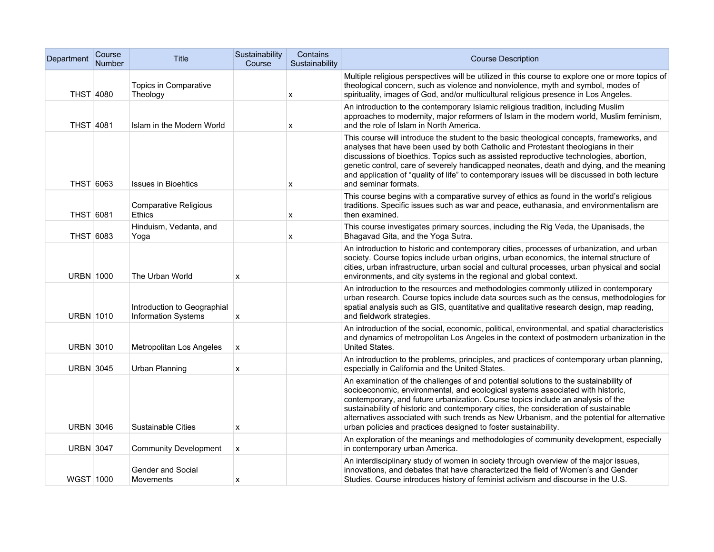| Department       | Course<br><b>Number</b> | Title                                                     | Sustainability<br>Course | Contains<br>Sustainability | <b>Course Description</b>                                                                                                                                                                                                                                                                                                                                                                                                                                                                                           |
|------------------|-------------------------|-----------------------------------------------------------|--------------------------|----------------------------|---------------------------------------------------------------------------------------------------------------------------------------------------------------------------------------------------------------------------------------------------------------------------------------------------------------------------------------------------------------------------------------------------------------------------------------------------------------------------------------------------------------------|
| THST 4080        |                         | Topics in Comparative<br>Theology                         |                          | x                          | Multiple religious perspectives will be utilized in this course to explore one or more topics of<br>theological concern, such as violence and nonviolence, myth and symbol, modes of<br>spirituality, images of God, and/or multicultural religious presence in Los Angeles.                                                                                                                                                                                                                                        |
| <b>THST 4081</b> |                         | Islam in the Modern World                                 |                          | x                          | An introduction to the contemporary Islamic religious tradition, including Muslim<br>approaches to modernity, major reformers of Islam in the modern world, Muslim feminism,<br>and the role of Islam in North America.                                                                                                                                                                                                                                                                                             |
| THST 6063        |                         | <b>Issues in Bioehtics</b>                                |                          | x                          | This course will introduce the student to the basic theological concepts, frameworks, and<br>analyses that have been used by both Catholic and Protestant theologians in their<br>discussions of bioethics. Topics such as assisted reproductive technologies, abortion,<br>genetic control, care of severely handicapped neonates, death and dying, and the meaning<br>and application of "quality of life" to contemporary issues will be discussed in both lecture<br>and seminar formats.                       |
| THST 6081        |                         | <b>Comparative Religious</b><br>Ethics                    |                          | x                          | This course begins with a comparative survey of ethics as found in the world's religious<br>traditions. Specific issues such as war and peace, euthanasia, and environmentalism are<br>then examined.                                                                                                                                                                                                                                                                                                               |
| THST 6083        |                         | Hinduism, Vedanta, and<br>Yoqa                            |                          | x                          | This course investigates primary sources, including the Rig Veda, the Upanisads, the<br>Bhagavad Gita, and the Yoga Sutra.                                                                                                                                                                                                                                                                                                                                                                                          |
| <b>URBN 1000</b> |                         | The Urban World                                           | x                        |                            | An introduction to historic and contemporary cities, processes of urbanization, and urban<br>society. Course topics include urban origins, urban economics, the internal structure of<br>cities, urban infrastructure, urban social and cultural processes, urban physical and social<br>environments, and city systems in the regional and global context.                                                                                                                                                         |
| <b>URBN 1010</b> |                         | Introduction to Geographial<br><b>Information Systems</b> | X                        |                            | An introduction to the resources and methodologies commonly utilized in contemporary<br>urban research. Course topics include data sources such as the census, methodologies for<br>spatial analysis such as GIS, quantitative and qualitative research design, map reading,<br>and fieldwork strategies.                                                                                                                                                                                                           |
| <b>URBN 3010</b> |                         | Metropolitan Los Angeles                                  | X                        |                            | An introduction of the social, economic, political, environmental, and spatial characteristics<br>and dynamics of metropolitan Los Angeles in the context of postmodern urbanization in the<br>United States.                                                                                                                                                                                                                                                                                                       |
| <b>URBN 3045</b> |                         | <b>Urban Planning</b>                                     | X                        |                            | An introduction to the problems, principles, and practices of contemporary urban planning,<br>especially in California and the United States.                                                                                                                                                                                                                                                                                                                                                                       |
| URBN 3046        |                         | <b>Sustainable Cities</b>                                 | X                        |                            | An examination of the challenges of and potential solutions to the sustainability of<br>socioeconomic, environmental, and ecological systems associated with historic,<br>contemporary, and future urbanization. Course topics include an analysis of the<br>sustainability of historic and contemporary cities, the consideration of sustainable<br>alternatives associated with such trends as New Urbanism, and the potential for alternative<br>urban policies and practices designed to foster sustainability. |
| <b>URBN 3047</b> |                         | <b>Community Development</b>                              | X                        |                            | An exploration of the meanings and methodologies of community development, especially<br>in contemporary urban America.                                                                                                                                                                                                                                                                                                                                                                                             |
| WGST 1000        |                         | Gender and Social<br>Movements                            | х                        |                            | An interdisciplinary study of women in society through overview of the major issues,<br>innovations, and debates that have characterized the field of Women's and Gender<br>Studies. Course introduces history of feminist activism and discourse in the U.S.                                                                                                                                                                                                                                                       |